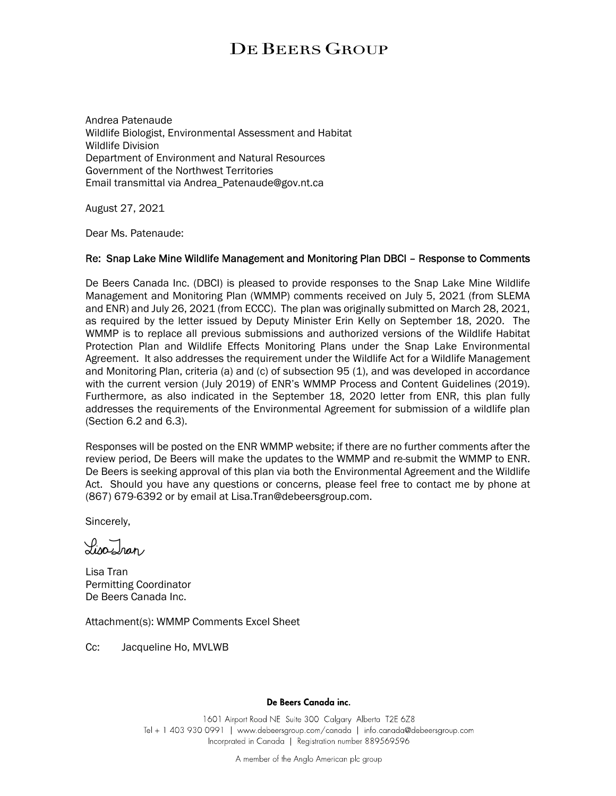## **DE BEERS GROUP**

Andrea Patenaude Wildlife Biologist, Environmental Assessment and Habitat Wildlife Division Department of Environment and Natural Resources Government of the Northwest Territories Email transmittal via Andrea\_Patenaude@gov.nt.ca

August 27, 2021

Dear Ms. Patenaude:

## Re: Snap Lake Mine Wildlife Management and Monitoring Plan DBCI – Response to Comments

De Beers Canada Inc. (DBCI) is pleased to provide responses to the Snap Lake Mine Wildlife Management and Monitoring Plan (WMMP) comments received on July 5, 2021 (from SLEMA and ENR) and July 26, 2021 (from ECCC). The plan was originally submitted on March 28, 2021, as required by the letter issued by Deputy Minister Erin Kelly on September 18, 2020. The WMMP is to replace all previous submissions and authorized versions of the Wildlife Habitat Protection Plan and Wildlife Effects Monitoring Plans under the Snap Lake Environmental Agreement. It also addresses the requirement under the Wildlife Act for a Wildlife Management and Monitoring Plan, criteria (a) and (c) of subsection 95 (1), and was developed in accordance with the current version (July 2019) of ENR's WMMP Process and Content Guidelines (2019). Furthermore, as also indicated in the September 18, 2020 letter from ENR, this plan fully addresses the requirements of the Environmental Agreement for submission of a wildlife plan (Section 6.2 and 6.3).

Responses will be posted on the ENR WMMP website; if there are no further comments after the review period, De Beers will make the updates to the WMMP and re-submit the WMMP to ENR. De Beers is seeking approval of this plan via both the Environmental Agreement and the Wildlife Act. Should you have any questions or concerns, please feel free to contact me by phone at (867) 679-6392 or by email at Lisa.Tran@debeersgroup.com.

Sincerely,

 $\sqrt{2n\lambda}$ 

Lisa Tran Permitting Coordinator De Beers Canada Inc.

Attachment(s): WMMP Comments Excel Sheet

Cc: Jacqueline Ho, MVLWB

## De Beers Canada inc.

1601 Airport Road NE Suite 300 Calgary Alberta T2E 6Z8 Tel + 1 403 930 0991 | www.debeersgroup.com/canada | info.canada@debeersgroup.com Incorprated in Canada | Registration number 889569596

A member of the Anglo American plc group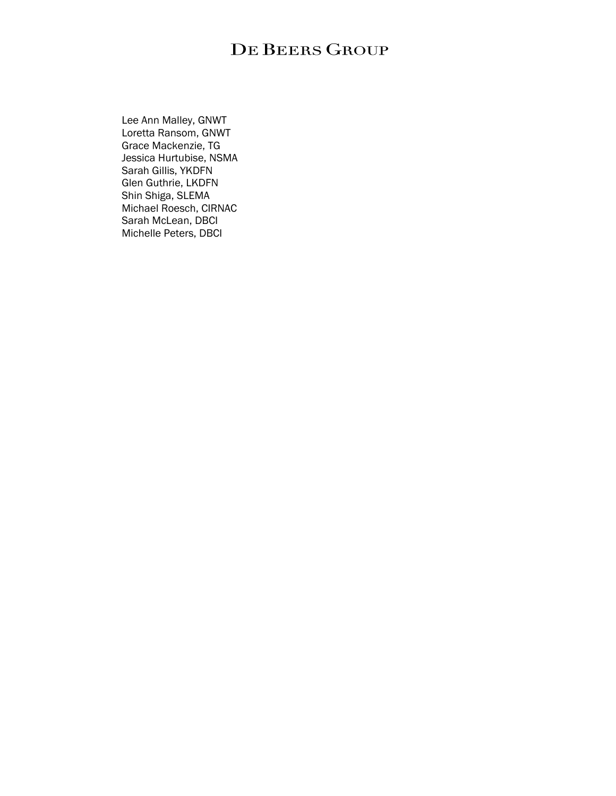## DE BEERS GROUP

 Lee Ann Malley, GNWT Loretta Ransom, GNWT Grace Mackenzie, TG Jessica Hurtubise, NSMA Sarah Gillis, YKDFN Glen Guthrie, LKDFN Shin Shiga, SLEMA Michael Roesch, CIRNAC Sarah McLean, DBCI Michelle Peters, DBCI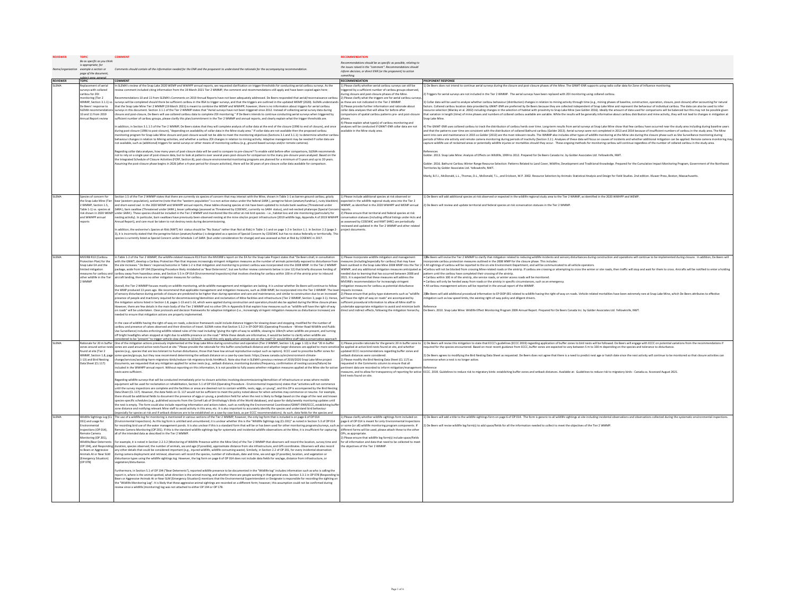|                 | Be as specific as you think<br>is appropriate: for<br>tation example a section or<br>page of the document                                                                                                                                                                     | Comments should contain all the information needed for the ENR and the proponent to understand the rationale for the accompanying recommendation.                                                                                                                                                                                                                                                                                                                                                                                                                                                                                                                                                                                                                                                                                                                                                                                                                                                                                                                                                                                                                                                                                                                                                                                                                                                                                                                                                                                                                                                                                                                                                                                                                                                                                                                                                                                                                                                                                                                                                                                                                                                                                                                                                                                                                                                                                                                                                                                                                                                                                                                                                                                                                                                                                                                                                                                                                                                                                                            | <b>RECOMMENDATION</b><br>Recommendations should be as specific as possible, relating to<br>the issues raised in the "comment". Recommendations should<br>inform decision, or direct ENR (or the proponent) to action<br>something.                                                                                                                                                                                                                                                                                                                                                                                                                                                                |                                                                                                                                                                                                                                                                                                                                                                                                                                                                                                                                                                                                                                                                                                                                                                                                                                                                                                                                                                                                                                                                                                                                                                                                                                                                                                                                                                                                                                                                                                                                                                                                                                                                                                                                                                                                                                                                                                                                                                                                                                                                                                                                                                                                                                                                                                                                                                                                                                                                                                                                                                                                                                                                                                                                                                                                                                                                                                                                                                                                                                                                                                                                                                                           |
|-----------------|-------------------------------------------------------------------------------------------------------------------------------------------------------------------------------------------------------------------------------------------------------------------------------|--------------------------------------------------------------------------------------------------------------------------------------------------------------------------------------------------------------------------------------------------------------------------------------------------------------------------------------------------------------------------------------------------------------------------------------------------------------------------------------------------------------------------------------------------------------------------------------------------------------------------------------------------------------------------------------------------------------------------------------------------------------------------------------------------------------------------------------------------------------------------------------------------------------------------------------------------------------------------------------------------------------------------------------------------------------------------------------------------------------------------------------------------------------------------------------------------------------------------------------------------------------------------------------------------------------------------------------------------------------------------------------------------------------------------------------------------------------------------------------------------------------------------------------------------------------------------------------------------------------------------------------------------------------------------------------------------------------------------------------------------------------------------------------------------------------------------------------------------------------------------------------------------------------------------------------------------------------------------------------------------------------------------------------------------------------------------------------------------------------------------------------------------------------------------------------------------------------------------------------------------------------------------------------------------------------------------------------------------------------------------------------------------------------------------------------------------------------------------------------------------------------------------------------------------------------------------------------------------------------------------------------------------------------------------------------------------------------------------------------------------------------------------------------------------------------------------------------------------------------------------------------------------------------------------------------------------------------------------------------------------------------------------------------------------------------|---------------------------------------------------------------------------------------------------------------------------------------------------------------------------------------------------------------------------------------------------------------------------------------------------------------------------------------------------------------------------------------------------------------------------------------------------------------------------------------------------------------------------------------------------------------------------------------------------------------------------------------------------------------------------------------------------|-------------------------------------------------------------------------------------------------------------------------------------------------------------------------------------------------------------------------------------------------------------------------------------------------------------------------------------------------------------------------------------------------------------------------------------------------------------------------------------------------------------------------------------------------------------------------------------------------------------------------------------------------------------------------------------------------------------------------------------------------------------------------------------------------------------------------------------------------------------------------------------------------------------------------------------------------------------------------------------------------------------------------------------------------------------------------------------------------------------------------------------------------------------------------------------------------------------------------------------------------------------------------------------------------------------------------------------------------------------------------------------------------------------------------------------------------------------------------------------------------------------------------------------------------------------------------------------------------------------------------------------------------------------------------------------------------------------------------------------------------------------------------------------------------------------------------------------------------------------------------------------------------------------------------------------------------------------------------------------------------------------------------------------------------------------------------------------------------------------------------------------------------------------------------------------------------------------------------------------------------------------------------------------------------------------------------------------------------------------------------------------------------------------------------------------------------------------------------------------------------------------------------------------------------------------------------------------------------------------------------------------------------------------------------------------------------------------------------------------------------------------------------------------------------------------------------------------------------------------------------------------------------------------------------------------------------------------------------------------------------------------------------------------------------------------------------------------------------------------------------------------------------------------------------------------------|
| <b>REVIEWER</b> | t area aenera<br><b>TOPIC</b>                                                                                                                                                                                                                                                 | <b>COMMENT</b>                                                                                                                                                                                                                                                                                                                                                                                                                                                                                                                                                                                                                                                                                                                                                                                                                                                                                                                                                                                                                                                                                                                                                                                                                                                                                                                                                                                                                                                                                                                                                                                                                                                                                                                                                                                                                                                                                                                                                                                                                                                                                                                                                                                                                                                                                                                                                                                                                                                                                                                                                                                                                                                                                                                                                                                                                                                                                                                                                                                                                                               | RECOMMENDATION                                                                                                                                                                                                                                                                                                                                                                                                                                                                                                                                                                                                                                                                                    | PROPONENT RESPONSE                                                                                                                                                                                                                                                                                                                                                                                                                                                                                                                                                                                                                                                                                                                                                                                                                                                                                                                                                                                                                                                                                                                                                                                                                                                                                                                                                                                                                                                                                                                                                                                                                                                                                                                                                                                                                                                                                                                                                                                                                                                                                                                                                                                                                                                                                                                                                                                                                                                                                                                                                                                                                                                                                                                                                                                                                                                                                                                                                                                                                                                                                                                                                                        |
| SLEMA           | teplacement of aerial<br>rveys with collared<br>aribou for ZOI<br>tonitoring (Tier 2)<br>WMMP. Section 3.1.1) v.<br>de Beers' response to<br><b>EMA</b> recommendat<br>10 and 11 from 2019<br>nnual Report review                                                             | In SLEMA's review of the Snap Lake 2020 WEMP and WWHPP annual reports, we requested clarification on trigger thresholds for conducting aerial caribou surveys. As the<br>ent included citing information from the 19 March 2021 Tier 2 WMMP, the comment and reco<br>ndations still apply and have been copied again hen<br>ommendations 10 and 11 from SLEMA's Comments on 2019 Annual Reports have not been adequately addressed. De Beers responded that aerial/reconnaissance caribou<br>urveys will be completed should there be sufficient caribou in the RSA to trigger surveys, and that the triggers are outlined in the updated WEMP (2020). SLEMA understands<br>that the Snap Lake Mine Tier 2 WMMP (19 March 2021) is meant to combine the WEMP and WWHPP; however, there is no information about triggers for aerial caribou<br>urveys in this document. Section 3.1.1 of the Tier 2 WMMP states that "Aerial surveys have not been triggered since 2012. Instead of collecting aerial survey data during<br>losure and post-closure. De Beers will use collared caribou data to complete 20I monitoring." If De Beers intends to continue conducting aerial surveys when triggered by<br>afficient number of caribou groups, please clarify this plan/commitment in the Tier 2 WMMP and annual reports, and clearly explain what the trigger thresholds are.<br>addition, in Section 3.1.1.5 of the Tier 2 WMMP, De Beers states that they will complete analysis of collar data at the end of the closure (1996 to end of closure), and once<br>during post-closure (1996 to post-closure), "depending on availability of collar data in the Mine study area." If collar data are not available then the proposed caribou<br>initoring program for Snap Lake Mine closure and post-closure would not be able to meet the monitoring objectives (Sections 3.1 and 3.1.1): to determine whether caribo<br>ehaviour changes in relation to Mining activities, and whether a caribou ZOI changes in relation to mining activity. Adaptive management may be needed if collar data are<br>not available, such as (additional) triggers for aerial surveys or other means of monitoring caribou (e.g., ground-based surveys and/or remote cameras).<br>egarding collar data analyses, how many years of post-closure data will be used to compare to pre-closure? To enable valid before-after comparisons, SLEMA recommends<br>not to rely on a single year of post-closure data, but to look at patterns over several years post-closure for comparison to the many pre-closure years analyzed. Based on the<br>the Integrated Schedule of Closure Activities (FCRP, Section 8), post-closure environmental monitoring programs are planned for a minimum of 5 years and up to 20 years.<br>ming the post-closure phase begins in 2026 (after a 4-year period for closure activities), there will be 30 years of pre-closure collar data available for comparison.                                                                               | ) Please clarify whether aerial caribou surveys can still be<br>iggered by a sufficient number of caribou groups obs<br>ing closure and post-closure phases of the Mine.<br>Please clarify what the trippers are for aerial caribou surv<br>these are not indicated in the Tier 2 WMMP<br>Please provide further information and rationale about<br>ollar data analyses that will allow for before-after<br>mparisons of spatial caribou patterns pre- and post-close<br>Please explain what type(s) of caribou monitoring and<br>alvses will be conducted if GNWT-ENR collar data are not<br>ilable in the Mine study area.                                                                      | ) De Beers does not intend to continue aerial surveys during the closure and post-closure phases of the Mine. The GNWT-ENR supports using radio collar data for Zone of Influence monitoring.<br>Triggers for aerial surveys are not included in the Tier 2 WMMP. The aerial surveys have been replaced with 201 monitoring using collared caribou<br>3) Collar data will be used to analyze whether caribou behaviour (distribution) changes in relation to mining activity through time (e.g., mining phases of baseline, construction, operation, closure, post-closure) after ac<br>factors. Collared caribou location data provided by GNWT-ENR are preferred by De Beers because they are collected independent of Snap Lake Mine and represent the behaviour of individual caribou. The data can also be used t<br>source selection (Manley et al. 2002) including changes in the selection of habitat with proximity to Snap Lake Mine (see Golder 2016). Ideally the amount of data used for comparisons will be balanced but this may not be p<br>that variation in length (time) of mine phases and numbers of collared caribou available are variable. While the results will be generally informative about caribou distribution and mine activity, they will not lead to cha<br>nap Lake Mine.<br>4) The GNWT-ENR uses collared caribou to track the distribution of caribou herds over time. Long-term results from aerial surveys at Snap Lake Mine show that few caribou have occurred near the study area including during b<br>and that the patterns over time are consistent with the distribution of collared Bathurst caribou (Golder 2013). Aerial surveys were not completed in 2013 and 2014 because of insufficient numbers of caribou in the study ar<br>went into care and maintenance in 2015 so Golder (2013) are the most relevant results. The WMMP also includes other types of wildlife monitoring at the Mine site during the closure phase such as Site Surveillance monitorin<br>eriods of Mine site activity and remote camera monitoring during periods of inactivity (Section 2.2.). Analyses of these data will focus on causes of incidents and whether additional mitigation can be applied. Remote camer<br>capture wildlife use of reclaimed areas or potentially wildlife injuries or mortalities should they occur. These ongoing methods for monitoring caribou will continue regardless of the number of collared caribou in the stud<br>References<br>Golder. 2013. Snap Lake Mine: Analysis of Effects on Wildlife, 1999 to 2012. Prepared for De Beers Canada Inc. by Golder Associates Ltd. Yellowknife, NWT<br>Golder. 2016. Bathurst Caribou Winter Range Resource Selection: Patterns Related to Land Cover, Wildfire, Development and Traditional Knowledge. Prepared for the Cumulative Impact Monitoring Program, Government of the Nort<br>erritories by Golder Associates Ltd. Yellowknife, NW1<br>Manly, B.F.J., McDonald, L.L., Thomas, D.L., McDonald, T.L., and Erickson, W.P. 2002. Resource Selection by Animals: Statistical Analysis and Design for Field Studies, 2nd edition. Kluwer Press, Boston, Massachusetts. |
|                 |                                                                                                                                                                                                                                                                               |                                                                                                                                                                                                                                                                                                                                                                                                                                                                                                                                                                                                                                                                                                                                                                                                                                                                                                                                                                                                                                                                                                                                                                                                                                                                                                                                                                                                                                                                                                                                                                                                                                                                                                                                                                                                                                                                                                                                                                                                                                                                                                                                                                                                                                                                                                                                                                                                                                                                                                                                                                                                                                                                                                                                                                                                                                                                                                                                                                                                                                                              |                                                                                                                                                                                                                                                                                                                                                                                                                                                                                                                                                                                                                                                                                                   |                                                                                                                                                                                                                                                                                                                                                                                                                                                                                                                                                                                                                                                                                                                                                                                                                                                                                                                                                                                                                                                                                                                                                                                                                                                                                                                                                                                                                                                                                                                                                                                                                                                                                                                                                                                                                                                                                                                                                                                                                                                                                                                                                                                                                                                                                                                                                                                                                                                                                                                                                                                                                                                                                                                                                                                                                                                                                                                                                                                                                                                                                                                                                                                           |
| <b>SLEMA</b>    | pecies of concern for<br>he Snap Lake Mine (Tie<br>WMMP, Section 1.5,<br>Table 1-1) vs. species at<br>risk shown in 2020 WEMP<br>and WWHPP annual<br>ports                                                                                                                    | Section 1.5 of the Tier 2 WMMP states that there are currently six species of concern that may interact with the Mine, shown in Table 1-1 as barren-ground caribou, grizzly<br>sear (western population), wolverine (note that the "western population" is a non-active status under the federal SARA), peregrine falcon (anotum/tundrius), rusty blackbird<br>and short-eared owl. In the 2020 WEMP and WWHPP annual reports, these tables showing species at risk have been updated to include bank swallow (Threatened under<br>SARA), barn swallow (Threatened under SARA), lesser yellowiegs (assessed as Threatened by COSEWIC, currently no SARA status), and red-necked phalarope (Special Concer<br>under SARA). These species should be included in the Tier 2 WMMP and monitored like the other at-risk bird species - i.e., habitat loss and site monitoring (particularly for<br>nesting activity). In particular, barn swallows have previously been observed nesting at the mine site/on project infrastructure (2019 wildlife logs, Appendix A of 2019 WWHPP<br>hual Report), and care must be taken to not destroy nests during decommissioning.<br>addition, the wolverine's Species at Risk (NWT) Act status should be "No Status" rather than Not at Risk) in Table 1-1 and on page 1-2 in Section 1.1. In Section 2.2 (page 2-<br>3), it is incorrectly stated that the peregrine falcon (anatum/tundrius) is designated as a species of Special Concern by COSEWIC but has no status federally or territorially. Ti<br>cies is currently listed as Special Concern under Schedule 1 of SARA (but under consideration for change) and was assessed as Not at Risk by COSEWIC in 2017.                                                                                                                                                                                                                                                                                                                                                                                                                                                                                                                                                                                                                                                                                                                                                                                                                                                                                                                                                                                                                                                                                                                                                                                                                                                                                                                                                   | 1) Please include additional species at risk observed or<br>pected in the wildlife regional study area into the Tier 2<br>MMP, as identified in the 2020 WWHPP and WEMP annual<br>2) Please ensure that territorial and federal species at risk<br>onservation statuses (including official listings under Acts and<br>asssessed by COSEWIC and NWT SARC) are periodically<br>lewed and updated in the Tier 2 WMMP and other relate<br>piert documents                                                                                                                                                                                                                                            | 1) De Beers will add additional soecies at risk observed or expected in the wildlife regional study area to the Tier 2 WMMP, as identified in the 2020 WWHPP and WEMP.<br>2) De Beers will review and update territorial and federal species at risk conservation statuses in the Tier 2 WMMP                                                                                                                                                                                                                                                                                                                                                                                                                                                                                                                                                                                                                                                                                                                                                                                                                                                                                                                                                                                                                                                                                                                                                                                                                                                                                                                                                                                                                                                                                                                                                                                                                                                                                                                                                                                                                                                                                                                                                                                                                                                                                                                                                                                                                                                                                                                                                                                                                                                                                                                                                                                                                                                                                                                                                                                                                                                                                             |
| <b>SLEMA</b>    | MVEIRB R13 (Caribou<br>ntection Plan) for the<br>Snap Lake EA and the<br>mited mitigation<br>easures for caribou and<br>2 WMMP                                                                                                                                                | In Table 1-2 of the Tier 2 WMMP, the wildlife-related measure R13 from the MVEIRB's report on the EA for the Snap Lake Project states that "De Beers shall, in consultation<br>ith the GNWT, develop a Caribou Protection Plan that imposes increasingly stringent mitigation measures as the number of animals potentially exposed to disturbance from<br>the site increases." De Beers' response/outcome in Table 1-2 is that mitigation and monitoring to protect caribou was incorporated into the 2008 WMP. In the Tier 2 WMMP<br>package, aside from OP 194 (Operating Procedure likely mislabeled as "Bear Deterrents"; but see further review comments below in Line 12) that briefly discusses herding of<br>caribou away from hazardous areas, and Section 5.5 in OP 014 (Environmental Inspections) that involves checking for caribou within 100 m of the airstrip prior to inbound<br>ther wildlife in the Tier aircraft landing, there are no other mitigation measures for caribou.<br>iverall, the Tier 2 WMMP focuses mostly on wildlife monitoring, while wildlife management and mitigation are lacking. It is unclear whether De Beers will continue to follow<br>the WMP produced 13 years ago. We recommend that applicable management and mitigation measures, such as 2008 WMP, be incorporated into the Tier 2 WMMP. The level<br>of sensory disturbance during periods of closure are predicted to be higher than during operation and care and maintenance, and similar to construction due to an increased<br>presence of people and machinery required for decommissioning/demolition and reclamation of Mine facilities and infrastructure (Tier 2 WMMP, Section 3, page 3-1). Hence,<br>the mitigation actions listed in Section 1.8, pages 1-13 and 1-14, which were applied during construction and operation, should also be applied during the Mine closure phase.<br>vever, there are few details in the main body of the Tier 2 WMMP and no other OPs in Appendix B that explain how measures such as "wildlife will have the right-of-way<br>on roads" will be undertaken. Clear protocols and decision frameworks for adaptive mitigation (i.e., increasingly stringent mitigation measures as disturbance increases) are<br>eded to ensure that mitigation actions are properly implemented.<br>n the case of wildlife having the right-of-way on roads, a decision framework could include distance triggers for slowing down and stopping, modified for the number of<br>caribou and presence of calves observed and their direction of travel. SLEMA notes that Section 5.3.2 in EP-DOP 001 (Operating Procedure - Winter Road Wildlife and Public<br>Use Surveillance) includes enforcing wildlife-related rules of the road including "giving the right-of-way to wildlife, slowing to 10km/h when wildlife are present, and turning<br>off bright headlights when stopped at night due to wildlife presence on the road." While these details are informative, it would be better to clarify when wildlife are | L) Please incorporate wildlife mitigation and managemer<br>asures (including/especially for caribou) that may have<br>ded due to learning that has occurred between 2008 and<br>2021. It is expected that these measures will address the<br>MVEIRB's recommendation for increasingly stringent<br>tigation measures for caribou as potential disturbance<br>pacts increase.<br>Please ensure that policy-type statements such as "wildlifi<br>will have the right-of-way on roads" are accompanied by<br>ficient procedural information to allow all Mine staff to<br>dertake appropriate mitigation to avoid and minimize bot<br>rect and indirect effects, following the mitigation hierarchy. | 1) De Beers will revise the Tier 2 WMMP to clarify that mitigation related to reducing wildlife incidents and sensory disturbances during construction and operations will continue to be implemented during closure. In addit<br>proprate caribou protection measures outlined in the 2008 WMP for the closure phase. This includes<br>en outlined in the Snap Lake Mine 2008 WMP into the Tier 2 . All sightings of caribou will be reported to the on-site Environment Department, and will be communicated to all vehicle operators.<br>MMP, and any additional mitigation measures anticipated as e Caribou will not be blocked from crossing Mine-related roads or the airstrip. If caribou are crossing or attempting to cross the winter or site roads, then traff<br>ttern until the caribou have completed their crossing of the airstrip.<br>. Caribou within 100 m of the airstrip, site service roads, or winter access roads will be monitored.<br>Caribou will only be herded away from roads or the airstrip in specific circumstances, such as an emergency<br>All caribou management actions will be reported in the annual report of the WMM<br>2) Be Beers will add additional procedural information to EP-DOP-001 related to wildlife having the right-of-way on roads. Vehicle-related mortalities have been extremely rare at Snap Lake Mine, which De Beers attributes t<br>nitization such as low speed limits, the existing right-of-way policy and diligent drivers.<br>De Beers. 2010. Snap Lake Mine: Wildlife Effect Monitoring Program 2009 Annual Report. Prepared for De Beers Canada Inc. by Golder Associates Ltd. Yellowknife, NWT.                                                                                                                                                                                                                                                                                                                                                                                                                                                                                                                                                                                                                                                                                                                                                                                                                                                                                                                                                                                                                                                                                                                                                                                                                                                                                                                                                                                                                                                                                                                  |
| <b>SLEMA</b>    |                                                                                                                                                                                                                                                                               | dered to be "oresent" to trigger vehicle slow-down to 10 km/h - would this only apply when animals are on the road? Or would Mine staff take a conservative app<br>ationale for 20 m buffer One of the mitigation actions previously implemented at the Snap Lake Mine during construction and operation (Tier 2 WMMP, Section 1.8, page 1-13) is that "20 m buffer                                                                                                                                                                                                                                                                                                                                                                                                                                                                                                                                                                                                                                                                                                                                                                                                                                                                                                                                                                                                                                                                                                                                                                                                                                                                                                                                                                                                                                                                                                                                                                                                                                                                                                                                                                                                                                                                                                                                                                                                                                                                                                                                                                                                                                                                                                                                                                                                                                                                                                                                                                                                                                                                                          |                                                                                                                                                                                                                                                                                                                                                                                                                                                                                                                                                                                                                                                                                                   | 1) Please provide rationale for the generic 20 m buffer zone to  1) De Beers will revise this mitigation to state that ECCC's guidelines (ECCC 2019) regarding application of buffer zones to bird nests will be followed. De                                                                                                                                                                                                                                                                                                                                                                                                                                                                                                                                                                                                                                                                                                                                                                                                                                                                                                                                                                                                                                                                                                                                                                                                                                                                                                                                                                                                                                                                                                                                                                                                                                                                                                                                                                                                                                                                                                                                                                                                                                                                                                                                                                                                                                                                                                                                                                                                                                                                                                                                                                                                                                                                                                                                                                                                                                                                                                                                                             |
|                 | nes around active ne<br>und at site (Tier 2<br>WMMP, Section 1.8, page<br>1-13) and Bird Nesting<br>Jata Sheet (CL 117)                                                                                                                                                       | nes are used around active nests found at site." Please provide the rationale for this buffer zone/setback distance and whether larger distances are applied to more sensiti<br>ecies (e.g., species that are less tolerant to human disturbance, those that have low annual reproductive output such as raptors). ECCC used to prescribe buffer zones for<br>some species/groups, but they now recommend determining the setback distance on a case-by-case basis: https://www.canada.ca/en/environment-climate-<br>hange/services/avoiding-harm-migratory-birds/reduce-risk-migratory-birds.html#toc5. Note also that in SLEMA's previous reviews of 2019/2020 Snap Lake Mine project<br>ocuments, we requested that any mitigation applied for active nests (e.g., setback distance, monitoring duration/frequency, confirmation of nesting success/failure) be<br>cluded in the WWHPP annual report. Without reporting on this information, it is not possible to fully assess whether mitigation measures applied at the Mine site for activ<br>ests were sufficient.<br>Regarding wildlife surveys that will be conducted immediately prior to closure activities involving decommissioning/demolition of infrastructure or areas where mobile<br>equipment will be used for reclamation or rehabilitation, Section 5.1 of OP 014 (Operating Procedure - Environmental Inspections) states that "activities will not commence<br>until the survey inspections are complete and the facilities or areas are deemed not to contain wildlife, nests, eggs, or young", and this OP is accompanied by the Bird Nesting<br>Data Sheet (CL 117). However, the data fields on CL 117 would not be sufficient to meet the policy noted above for when activities may commence or resume. For example,<br>there should be additional fields to document the presence of eggs or young, a prediction field for when the nest is likely to fledge based on the stage of the nest and known<br>pecies-specific schedules (e.g., published accounts from the Cornell Lab of Ornithology's Birds of the World database), and space for daily/weekly monitoring updates unti<br>the nest is empty. The form could also include reporting information and actions taken, such as notifying the Environmental Coordinator/GNWT-ENR/ECCC, establishing buffi<br>one distance and notifying relevant Mine staff to avoid activity in this area, etc. It is also important to accurately identify the species and understand bird behaviou<br>especially for species at risk and if setback distances are to be established on a case-by-case basis, as per ECCC recommendations). As such, data fields for the species and                                                                                                                                                                                                                                                                                                                                                 | e applied at active bird nests found at site, and whether<br>dated ECCC recommendations regarding buffer zones and<br>thack distances were considered<br>I) Please modify the Bird Nesting Data Sheet (CL 117) as<br>quested in the Comments column to ensure that all<br>tinent data are recorded to inform mitigation/manage<br>ird nests found on site.                                                                                                                                                                                                                                                                                                                                        | suired for the species encountered. Based on most recent auidance from ECCC. buffer zones are expected to vary between 5 m to 100 m depending on the species and tolerance to disturbance<br>2) De Beers agrees to modifying the Bird Nesting Data Sheet as requested. De Beers does not agree that there is a need to predict nest age or hatch date since the nest activity will continue to be monitored so that closure<br>ommence when a nest is no longer active<br>sasures, and to allow for transparency of reporting for active ECCC. 2019. Guidelines to reduce risk to migratory birds: establishing buffer zones and setback distances. Available at: Guidelines to reduce risk to migratory                                                                                                                                                                                                                                                                                                                                                                                                                                                                                                                                                                                                                                                                                                                                                                                                                                                                                                                                                                                                                                                                                                                                                                                                                                                                                                                                                                                                                                                                                                                                                                                                                                                                                                                                                                                                                                                                                                                                                                                                                                                                                                                                                                                                                                                                                                                                                                                                                                                                                  |
| <b>SLEMA</b>    | Wildlife Sightings Log (CL<br>031) and usage fo<br>wironmental<br>spections (OP 014).<br>emote Camera<br>onitoring (OP 201),<br>Vildlife/Bear Deterrent<br>(OP 194), and Responding<br><b>Bears or Aggressive</b><br>nimals At or Near SLM<br>Emergency Situation)<br>OP 0781 | The use of a wildlife log for monitoring is mentioned in various sections of the Tier 2 WMMP; however, the only log form that is included is on page 6 of OP 014<br>ental Inspections). As this log form is untitled and unnumbered, it is unclear whether this is the "Wildlife Sightings Log (CL 031)" as noted in Section 5.3 of OP 014<br>r recording bird use of the water management ponds. It is also unclear if this is a standard form that will be or has been used for other monitoring programs/surveys, such as<br>mote Camera Monitoring (OP 201). If this is the standard wildlife sightings log for systematic and incidental wildlife observations at the Mine, it is insufficient for capturing<br>l of the intended data as described in the Tier 2 WMMP.<br>or example, it is noted in Section 2.2.3.2 (Monitoring of Wildlife Presence within the Mine Site) of the Tier 2 WMMP that observers will record the location, survey time and<br>duration, species observed, the number of animals, sex and age (if possible), approximate distance from site infrastructure, and GPS coordinates. Observers will also record<br>any other details that could be considered important (e.g., injured wildlife, wildlife consuming waste). Similarly, in Section 2.2 of OP 201, for every incidental observation<br>during camera deployment and retrieval, observers will record the species, number of individuals, date and time, sex and age (if possible), location, and vegetation or<br>disturbance types using the wildlife sightings log. However, the log form on page 6 of OP 014 does not include data fields for sex/age, distance from infrastructure, or<br>egetation/disturbance<br>rthermore, in Section 5.1 of OP 194 ("Bear Deterrents"), reported wildlife presence to be documented in the "Wildlife log" includes information such as who is calling the<br>report in, where is the animal spotted, what direction is the animal moving, and whether there are people working in that general area. Section 3.3.1 in OP 078 (Responding to the animal spotter) and the spatial end of the<br>e "Wildlife Monitoring Log". It is likely that these aggressive animal sightings are recorded on a different form; however, this assumption could not be confirmed during<br>view since a wildlife (monitoring) log was not attached to either OP 194 or OP 178.                                                                                                                                                                                                                                                                                                                                                                                                                                                                                                                                                                                                                                                           | Please clarify whether wildlife sightings form included on<br>page 6 of OP 014 is meant for only Environmental Inspectio<br>some (or all) wildlife monitoring program components. If<br>different forms will be used, please attach these to the other<br>OPs, as appropriate.<br>Please ensure that wildlife log form(s) include space/fields<br>for all information and data that need to be collected to meet<br>b objectives of the Tier 2 WMMP.                                                                                                                                                                                                                                              | 1) De Beers will add a title to the wildlife sightings form on page 6 of OP 014. The form is generic to all wildlife sightings at site including incidental observations and observations collected during the systematic envi<br>2) De Beers will revise wildlife log form(s) to add space/fields for all the information needed to collect to meet the objectives of the Tier 2 WMMP.                                                                                                                                                                                                                                                                                                                                                                                                                                                                                                                                                                                                                                                                                                                                                                                                                                                                                                                                                                                                                                                                                                                                                                                                                                                                                                                                                                                                                                                                                                                                                                                                                                                                                                                                                                                                                                                                                                                                                                                                                                                                                                                                                                                                                                                                                                                                                                                                                                                                                                                                                                                                                                                                                                                                                                                                   |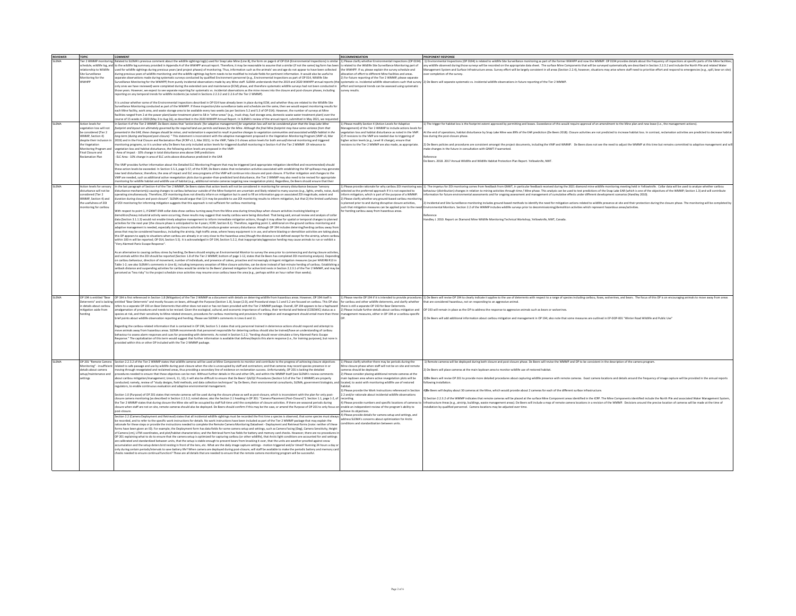| <b>REVIEWER</b> | TOPIC                      | <b>COMMENT</b>                                                                                                                                                                                          | RECOMMENDATION                                                 | PROPONENT RESPONSE                                                                                                                                                                                                             |
|-----------------|----------------------------|---------------------------------------------------------------------------------------------------------------------------------------------------------------------------------------------------------|----------------------------------------------------------------|--------------------------------------------------------------------------------------------------------------------------------------------------------------------------------------------------------------------------------|
| <b>SLEMA</b>    | ler 2 WMMP monitori        | elated to SLEMA's previous comment about the wildlife sightings log(s) used for Snap Lake Mine (Line 8), the form on page 6 of OP 014 (Environmental Inspections) is simila                             | Please clarify whether Environmental Inspections (OP 0194)     | )) Environmental Inspections (OP 0194) is related to wildlife Site Surveillance monitoring as part of the former WWHPP and now the WMMP. OP 0194 provides details about the frequency of inspections at specific parts of the  |
|                 |                            |                                                                                                                                                                                                         |                                                                |                                                                                                                                                                                                                                |
|                 |                            | schedule, wildlife log, and to the wildlife log summary provided in Appendix A of the WWHPP annual report. Therefore, it may be reasonable to assume that a similar (if not the same) log form has been | related to the Wildlife Site Surveillance Monitoring part of   | ny wildlife observed during those surveys will be recorded on the appropriate data sheet. The surface Mine Components that will be surveyed systematically are described in Section 2.2.3.2 and include the North Pile and rel |
|                 | relationship to Wildlife   | sed for wildlife sightings during previous years (and project phases) of monitoring. Thus, information such as the animals' sex and age do not appear to have been collected                            | e WWHPP. If so, please explain the survey schedule and         | aggement System and Surface Infrastructure areas. Survey effort will be largely consistent in all areas (Section 2.2.4), however, situations may arise where staff need to prioritize effort and respond to emergencies (e.g., |
|                 | Site Surveillance          | ring previous years of wildlife monitoring; and the wildlife sightings log form needs to be modified to include fields for pertinent information. It would also be useful to                            | location of effort to different Mine facilities and areas.     | over completion of the survey.                                                                                                                                                                                                 |
|                 | Monitoring for the         | parate observations made during systematic surveys conducted by qualified Environment personnel (e.g., Environmental Inspections as part of OP 014, Wildlife Site                                       | ) For future reporting of the Tier 2 WMMP, please separate     |                                                                                                                                                                                                                                |
|                 | <b>WWHPP</b>               | rveillance Monitoring for the WWHPP) from purely incidental observations made by any Mine staff. SLEMA understands that the 2019 and 2020 WWHPP annual reports (the                                     |                                                                | stematic vs. incidental wildlife observations such that survey 2) De Beers will separate systematic vs. incidental wildlife observations in future reporting of the Tier 2 WMMP                                                |
|                 |                            | only ones we have reviewed) were completed during the extended care and maintenance (ECM) phase, and therefore systematic wildlife surveys had not been conducted in                                    | ffort and temporal trends can be assessed using systemati-     |                                                                                                                                                                                                                                |
|                 |                            |                                                                                                                                                                                                         |                                                                |                                                                                                                                                                                                                                |
|                 |                            | ose years. However, we expect to see separate reporting for systematic ys, incidental observations as the mine moyes into the closure and post-closure phases, including                                | urvey results.                                                 |                                                                                                                                                                                                                                |
|                 |                            | porting on any temporal trends for wildlife incidents (as noted in Sections 2.2.3.2 and 2.2.6 of the Tier 2 WMMP).                                                                                      |                                                                |                                                                                                                                                                                                                                |
|                 |                            |                                                                                                                                                                                                         |                                                                |                                                                                                                                                                                                                                |
|                 |                            | It is unclear whether some of the Environmental Inspections described in OP 014 have already been in place during ECM, and whether they are related to the Wildlife Site                                |                                                                |                                                                                                                                                                                                                                |
|                 |                            | iurveillance Monitoring conducted as part of the WWHPP. If these inspection/site surveillance tasks and schedule are the same, then we would expect monitoring results fo                               |                                                                |                                                                                                                                                                                                                                |
|                 |                            | each Mine facility, work area, and waste storage area to be available every two weeks (as per Sections 5.2 and 5.3 of OP 014). However, the number of surveys at Mine                                   |                                                                |                                                                                                                                                                                                                                |
|                 |                            | cilities ranged from 2 at the power plant/water treatment plant to 58 in "other areas" (e.g., truck shop, fuel storage area, domestic waste water treatment plant) over the                             |                                                                |                                                                                                                                                                                                                                |
|                 |                            | urse of 15 weeks in 2020 (May 3 to Aug 16), as described in the 2020 WWHPP Annual Report. In SLEMA's review of the annual report, submitted in May 2021, we requested                                   |                                                                |                                                                                                                                                                                                                                |
|                 |                            |                                                                                                                                                                                                         |                                                                |                                                                                                                                                                                                                                |
| <b>SLEMA</b>    | Action levels for          | n Section 4 of the Tier 2 WMMP, De Beers states that "action levels [for adaptive management] for vegetation loss will not be considered given that the Snap Lake Mine                                  | Please modify Section 4 (Action Levels for Adaptive            | 1) The trigger for habitat loss is the footprint extent approved by permitting and leases. Exceedance of this would require approval of an amendment to the Mine plan and new lease (i.e., the management actions).            |
|                 | egetation loss will not    | tprint and layout are ultimately governed by the required land use permits and leases for the Mine. Although the final Mine footprint may have some variance from that                                  | agement) of the Tier 2 WMMP to include actions levels f        |                                                                                                                                                                                                                                |
|                 | be considered (Tier 2      | sented in the EAR, these changes should be minor, and reclamation is expected to result in positive changes to vegetation communities and associated wildlife habitat in the                            | retation loss and habitat disturbance as noted in the VMP.     | At the end of operations, habitat disturbance by Snap Lake Mine was 89% of the EAR prediction (De Beers 2018). Closure activities are not predicted to increase habitat loss. In contrast, reclamation activities are predicte |
|                 | WMMP, Section 4)           | g-term (during and beyond post-closure). " This statement is inconsistent with the adaptive management proposed in the Vegetation Monitoring Program (VMP v3, Mar                                       | If revisions to the VMP are needed due to triggering of        | is during the post-closure phase                                                                                                                                                                                               |
|                 | despite their inclusion    | 2019) and in the Final Closure and Reclamation Plan (FCRP v1.1, Mar 2021). In the VMP, Table 2-5 shows action levels for both annual/interval monitoring and triggered                                  | igher action levels (e.g., Level III change), ensure that      |                                                                                                                                                                                                                                |
|                 | the Vegetation             | nitoring programs, so it is unclear why De Beers has only included action levels for triggered dustfall monitoring in Section 4 of the Tier 2 WMMP. Of relevance to                                     | visions to the Tier 2 WMMP are also made, as appropriate.      | 2) De Beers policies and procedures are consistent amongst the project documents, including the VMP and WMMP. De Beers does not see the need to adjust the WMMP at this time but remains committed to adaptive management and  |
|                 | fonitoring Program and     | egetation loss and habitat disturbance, the following action levels are proposed in the VMP:                                                                                                            |                                                                | nake changes in the future in consultation with GNWT if warranted.                                                                                                                                                             |
|                 |                            | Area of Impact - 10% change in total disturbance area above EAR predictions                                                                                                                             |                                                                |                                                                                                                                                                                                                                |
|                 | Final Closure and          |                                                                                                                                                                                                         |                                                                |                                                                                                                                                                                                                                |
|                 | <b>Reclamation Plan</b>    | ELC Area - 10% change in area of ELC units above disturbance predicted in the EAR                                                                                                                       |                                                                | <b>Herence</b>                                                                                                                                                                                                                 |
|                 |                            |                                                                                                                                                                                                         |                                                                | De Beers. 2018. 2017 Annual Wildlife and Wildlife Habitat Protection Plan Report. Yellowknife, NWT.                                                                                                                            |
|                 |                            | The VMP provides further information about the Detailed ELC Monitoring Program that may be triggered (and appropriate mitigation identified and recommended) should                                     |                                                                |                                                                                                                                                                                                                                |
|                 |                            | these action levels be exceeded. In Section 5.5.3, page 5-57, of the FCRP. De Beers states that reclamation activities associated with establishing the ISP soillways may generat                       |                                                                |                                                                                                                                                                                                                                |
|                 |                            | new land disturbance: therefore, the area of impact and ELC area programs of the VMP will continue into closure and post-closure. If further mitigation and changes to the                              |                                                                |                                                                                                                                                                                                                                |
|                 |                            | VMP are needed, such as additional active revegetation plots due to greater-than-predicted land disturbance, the Tier 2 WMMP may also need to be revised for appropriate                                |                                                                |                                                                                                                                                                                                                                |
|                 |                            |                                                                                                                                                                                                         |                                                                |                                                                                                                                                                                                                                |
|                 |                            | toring for wildlife habitat and wildlife use of habitat (e.g., additional remote cameras targeting new revegetation plots). Regardless, De Beers should ensure that thei                                |                                                                |                                                                                                                                                                                                                                |
| SLEMA           | Action levels for sensor   | n the last paragraph of Section 4 of the Tier 2 WMMP, De Beers states that action levels will not be considered in monitoring for sensory disturbance because "sensory                                  |                                                                | Please provide rationale for why caribou 201 monitoring was 1) The impetus for 201 monitoring comes from feedback from GNWT, in particular feedback received during the 2021 diamond mine wildlife monitoring meeting held in  |
|                 | disturbance will not be    | turbance mechanism(s) causing changes to caribou behaviour outside of the Mine footprint are uncertain and likely related to many sources (e.g., lights, smells, noise, dust                            | lected as the preferred approach if it is not expected to      | ehaviour (distribution) changes in relation to mining activities through time / Mine phase. This analysis can be used to test predictions of the Snap Lake EAR (which is one of the objectives of the WMMP; Section 1.3) and w |
|                 | onsidered (Tier 2          | erating simultaneously. Therefore, 201 monitoring does not directly inform on mitigation but is used to fill an information gap on associated 201 magnitude, extent and                                 | form mitigation, which is part of the purpose of a WMMP        | rmation for future environmental assessments and for ongoing assessment and management of cumulative effects under different development scenarios (Handley 2010)                                                              |
|                 | WMMP, Section 4) and       | luration during closure and post-closure". SLEMA would argue that 1) it may be possible to use ZOI monitoring results to inform mitigation, but that 2) the limited usefulness                          | Please clarify whether any ground-based caribou monitorin      |                                                                                                                                                                                                                                |
|                 | the usefulness of ZOI      | of ZOI monitoring for informing mitigation suggests that this approach is not sufficient for caribou monitoring.                                                                                        | planned prior to and during disruptive closure activities.     | 2) Incidental and Site Surveillance monitoring includes ground-based methods to identify the need for mitigation actions related to wildlife presence at site and their protection during the closure phase. The monitoring wi |
|                 |                            |                                                                                                                                                                                                         |                                                                |                                                                                                                                                                                                                                |
|                 | tonitoring for caribou     |                                                                                                                                                                                                         |                                                                | uch that mitigation measures can be applied prior to the need Environmental Monitors. Section 2.2 of the WMMP includes wildlife surveys prior to decommissioning/demolition activities which represent hazardous areas/activit |
|                 |                            | With respect to point 1, if GNWT-ENR collar data show caribou turning away from the Mine area during times/days when closure activities involving blasting or                                           | or herding caribou away from hazardous areas.                  |                                                                                                                                                                                                                                |
|                 |                            | nolition/heavy industrial activity were occurring, these results may suggest that nearby caribou were being disturbed. That being said, annual review and analysis of collar                            |                                                                |                                                                                                                                                                                                                                |
|                 |                            | data (Section 3.1.1.3) would not enable timely adaptive management to inform immediate mitigation actions, though it may allow for spatial or temporal changes to planned                               |                                                                | andley J. 2010. Report on Diamond Mine Wildlife Monitoring Technical Workshop. Yellowknife, NWT. Canada.                                                                                                                       |
|                 |                            | ctivities for the next year (the closure phase is anticipated to be 4 years: FCRP, Section 8.1). Therefore, regarding point 2, additional on-the-ground caribou monitoring and                          |                                                                |                                                                                                                                                                                                                                |
|                 |                            | daptive management is needed, especially during closure activities that produce greater sensory disturbance. Although OP 194 includes deterring/herding caribou away from                               |                                                                |                                                                                                                                                                                                                                |
|                 |                            | reas that may be considered hazardous, including the airstrip, high traffic areas, where heavy equipment is in use, and where blasting or demolition activities are taking place.                       |                                                                |                                                                                                                                                                                                                                |
|                 |                            |                                                                                                                                                                                                         |                                                                |                                                                                                                                                                                                                                |
|                 |                            | this OP appears to apply to situations when caribou are already in or very close to the hazardous area (though the distance is not defined except for the airstrip, where caribor                       |                                                                |                                                                                                                                                                                                                                |
|                 |                            | thin 100 m will be reported; OP 014, Section 5.5). It is acknowledged in OP 194, Section 5.2.2, that inappropriate/aggressive herding may cause animals to run or exhibit a                             |                                                                |                                                                                                                                                                                                                                |
|                 |                            | Very Alarmed-Panic Escape Response"                                                                                                                                                                     |                                                                |                                                                                                                                                                                                                                |
|                 |                            |                                                                                                                                                                                                         |                                                                |                                                                                                                                                                                                                                |
|                 |                            | As an alternative to causing caribou stress by herding, De Beers should employ an Environmental Monitor to survey the area prior to commencing and during closure activites                             |                                                                |                                                                                                                                                                                                                                |
|                 |                            | and animals within the ZOI should be reported (Section 1.8 of the Tier 2 WMMP, bottom of page 1-12, states that De Beers has completed ZOI monitoring analysis). Depending                              |                                                                |                                                                                                                                                                                                                                |
|                 |                            | on caribou behaviour, direction of movement, number of individuals, and presence of calves, proactive and increasingly stringent mitigation measures (as per MVEIRB R13 in                              |                                                                |                                                                                                                                                                                                                                |
|                 |                            | Table 1-2; see also SLEMA's comments in Line 6), including temporary cessation of Mine closure activities, can be done instead of last-minute herding of caribou. Establishing a                        |                                                                |                                                                                                                                                                                                                                |
|                 |                            | setback distance and suspending activities for caribou would be similar to De Beers' planned mitigation for active bird nests in Section 2.2.3.1 of the Tier 2 WMMP, and may be                         |                                                                |                                                                                                                                                                                                                                |
|                 |                            |                                                                                                                                                                                                         |                                                                |                                                                                                                                                                                                                                |
|                 |                            | ceived as "less risky" to the project schedule since activities may resume once caribou leave the area (e.g., perhaps within an hour rather than weeks).                                                |                                                                |                                                                                                                                                                                                                                |
|                 |                            |                                                                                                                                                                                                         |                                                                |                                                                                                                                                                                                                                |
|                 |                            |                                                                                                                                                                                                         |                                                                |                                                                                                                                                                                                                                |
|                 |                            |                                                                                                                                                                                                         |                                                                |                                                                                                                                                                                                                                |
|                 |                            |                                                                                                                                                                                                         |                                                                |                                                                                                                                                                                                                                |
|                 |                            |                                                                                                                                                                                                         |                                                                |                                                                                                                                                                                                                                |
| <b>SLEMA</b>    |                            | OP 194 is entitled "Bear OP 194 is first referenced in Section 1.8 (Mitigation) of the Tier 2 WMMP as a document with details on deterring wildlife from hazardous areas. However, OP 194 itself is     |                                                                | 1) Please rewrite OP 194 if it is intended to provide procedures [1] De Beers will revise OP 194 to clearly indicate it applies to the use of deterrents with respect to a range of species including caribou, foxes, wolverin |
|                 | leterrents" and is lacking | ntitled "Bear Deterrents" and mostly focuses on bears, although the Purpose (Section 1.0), Scope (2.0), and Procedural steps 5.1 and 5.2 are focused on caribou. This OP also                           | or caribou and other wildlife deterrents, and clarify whether  | that are considered hazardous, not on responding to an aggressive animal.                                                                                                                                                      |
|                 | n details about caribou    | fers to a separate OP 193 on Bear Deterrents that either does not exist or has not been provided with the Tier 2 WMMP package. Overall, OP 194 appears to be a haphazard                                | ere is still a separate OP 193 for Bear Deterrents.            |                                                                                                                                                                                                                                |
|                 | nitigation aside from      | malgamation of procedures and needs to be revised. Given the ecological, cultural, and economic importance of caribou, their territorial and federal (COSEWIC) status as a                              | 2) Please include further details about caribou mitigation and | OP 193 will remain in place as the OP to address the response to aggressive animals such as bears or wolverines.                                                                                                               |
|                 |                            | secies at risk, and their sensitivity to Mine-related stressors, procedures for caribou monitoring and provisions for mitigation and management should entail more than three                           | anagement measures, either in OP 194 or a caribou-specific     |                                                                                                                                                                                                                                |
|                 | erding                     | brief points about wildlife observation reporting and herding. Please see SLEMA's comments in Lines 6 and 11.                                                                                           |                                                                | 1 De Beers will add additional information about caribou mitigation and management in OP 194: also note that some measures are outlined in EP-DOP-001 "Winter Road Wildlife and Public Use"                                    |
|                 |                            |                                                                                                                                                                                                         |                                                                |                                                                                                                                                                                                                                |
|                 |                            |                                                                                                                                                                                                         |                                                                |                                                                                                                                                                                                                                |
|                 |                            | Regarding the caribou-related information that is contained in OP 194. Section 5.1 states that only personnel trained in deterrence actions should respond and attempt to                               |                                                                |                                                                                                                                                                                                                                |
|                 |                            | move animals away from hazardous areas. SLEMA recommends that personnel responsible for deterring caribou should also be trained/have an understanding of caribou                                       |                                                                |                                                                                                                                                                                                                                |
|                 |                            | ehaviour to assess alarm responses and cues for proceeding with deterrents. As noted in Section 5.2.2, "herding should never stimulate a Very Alarmed-Panic Escape                                      |                                                                |                                                                                                                                                                                                                                |
|                 |                            | esponse." The capitalization of this term would suggest that further information is available that defines/depicts this alarm response (i.e., for training purposes), but none is                       |                                                                |                                                                                                                                                                                                                                |
|                 |                            | ovided within this or other OP included with the Tier 2 WMMP package.                                                                                                                                   |                                                                |                                                                                                                                                                                                                                |
|                 |                            |                                                                                                                                                                                                         |                                                                |                                                                                                                                                                                                                                |
|                 |                            |                                                                                                                                                                                                         |                                                                |                                                                                                                                                                                                                                |
|                 |                            |                                                                                                                                                                                                         |                                                                |                                                                                                                                                                                                                                |
|                 |                            |                                                                                                                                                                                                         |                                                                |                                                                                                                                                                                                                                |
| <b>SLEMA</b>    | OP 201 "Remote Camera      | Section 2.2.3.2 of the Tier 2 WMMP states that wildlife cameras will be used at Mine Components to monitor and contribute to the progress of achieving closure objectives                               | Please clarify whether there may be periods during the         | I) Remote cameras will be deployed during both closure and post-closure phase. De Beers will revise the WMMP and OP to be consistent in the description of the camera program.                                                 |
|                 | Monitoring" - insufficien  | lated to safe passage and use by wildlife during post-closure when the site is unoccupied by staff and contractors; and that cameras may record species presence in or                                  | ine closure phase when staff will not be on site and remot     |                                                                                                                                                                                                                                |
|                 | details about camera       | ving through revegetated and reclaimed areas, thus providing a secondary line of evidence on reclamation success. Unfortunately, OP 201 is lacking the detailed                                         | meras should be deployed.                                      | De Beers will place cameras at the main laydown area to monitor wildlife use of restored habitat                                                                                                                               |
|                 | etup/maintenance and       | ocedures needed to ensure that these objectives can be met. Without further details in this and other OPs, and within the WMMP itself (see SLEMA's review comments                                      | Please consider placing additional remote cameras at the       |                                                                                                                                                                                                                                |
|                 | ettings                    | out caribou mitigation/management: Lines 6, 11, 12), it will also be difficult to ensure that De Beers' QA/QC Procedures (Section 5.0 of the Tier 2 WMMP) are properly                                  | ain laydown area where active revegetation plots will be       | 3) The Beers will revise OP 201 to provide more detailed procedures about capturing wildlife presence with remote cameras. Exact camera locations and details around the frequency of image capture will be provided in the an |
|                 |                            |                                                                                                                                                                                                         |                                                                |                                                                                                                                                                                                                                |
|                 |                            | nducted: namely, review of "study designs, field methods, and data collection techniques" by De Beers, their environmental consultants, SLEMA, government biologists, and                               | located, to assist with monitoring wildlife use of restored    | sllowing installation.                                                                                                                                                                                                         |
|                 |                            | egulators, to enable continuous evaluation and adaptive environmental management.                                                                                                                       | tatida                                                         |                                                                                                                                                                                                                                |
|                 |                            |                                                                                                                                                                                                         | Please provide the Work Instructions referenced in Section     | IDe Beers will deploy about 30 cameras at the Mine, which would provide about 2 cameras for each of the different surface infrastructure.                                                                                      |
|                 |                            | Section 1.0 (Purpose) of OP 201 states that remote cameras will be used during the closure phase as well as post-closure, which is inconsistent with the plan for only post-                            | .2 and/or rationale about incidental wildlife observations     |                                                                                                                                                                                                                                |
|                 |                            | losure camera monitoring las described in Section 2.2.3.2, noted above: also the Section 2.1 heading in OP 201: "Camera Placement (Post-Closure)"), Section 1.1, page 1-2, of                           | ecording.                                                      | Section 2.2.3.2 of the WMMP indicates that remote cameras will be placed at the surface Mine Component areas identified in the ICRP. The Mine Components identified include the North Pile and associated Water Management Sys |
|                 |                            | the Tier 2 WMMP states that during closure the Mine site will be occupied by staff full-time until the completion of closure activities. If there are seasonal periods during                           |                                                                | 1) Please provide numbers and specific locations of cameras to Infrastructure Areas (e.e., airstrip, buildings, waste management areas). De Beers will include a map of remote camera locations in a revision of the WMMP. Dec |
|                 |                            | closure when staff are not on site, remote cameras should also be deployed. De Beers should confirm if this may be the case, or amend the Purpose of OP 201 to only focus on                            | enable an independent review of the program's ability to       | installation by qualified personnel. Camera locations may be adjusted over time.                                                                                                                                               |
|                 |                            | post-closure.                                                                                                                                                                                           | chieve its objectives.                                         |                                                                                                                                                                                                                                |
|                 |                            |                                                                                                                                                                                                         | Please provide details for camera setup and settings, and      |                                                                                                                                                                                                                                |
|                 |                            | Section 2.2 (Camera Deployment and Retrieval) states that all incidental wildlife sightings must be recorded the first time a species is observed, that some species must always                        |                                                                |                                                                                                                                                                                                                                |
|                 |                            | be recorded, and to refer to the specific work instructions for details. No work instructions have been included as part of the Tier 2 WMMP package that may explain the                                | dress SLEMA's concerns about optimization for Arctic           |                                                                                                                                                                                                                                |
|                 |                            | ationale for these steps or provide the instructions needed to complete the Remote Camera Monitoring Datasheet - Deployment and Retrieval forms (note: neither of these                                 | ditions and standardization between units.                     |                                                                                                                                                                                                                                |
|                 |                            | rms have been given an ID). For example, the Deployment form has data fields for some camera setup and settings, such as Camera Facing (Deg). Camera Sensitivity, Height                                |                                                                |                                                                                                                                                                                                                                |
|                 |                            | of Camera (cm), UTM coordinates, and plot/habitat characteristics; and the Retrieval form has fields for battery and memory card checks. However, there are no procedures in                            |                                                                |                                                                                                                                                                                                                                |
|                 |                            |                                                                                                                                                                                                         |                                                                |                                                                                                                                                                                                                                |
|                 |                            | OP 201 explaining what to do to ensure that the camera setup is optimized for capturing caribou (or other wildlife), that Arctic light conditions are accounted for and settings                        |                                                                |                                                                                                                                                                                                                                |
|                 |                            | are calibrated and standardized between units, that the setup is stable enough to prevent bears from knocking it over, that the units are weather-proofed against snow                                  |                                                                |                                                                                                                                                                                                                                |
|                 |                            | umulation and the setup deters bird nesting in front of the lens, etc. What are the daily image capture settings - motion triggered and/or timed? Running 24 hours a day or                             |                                                                |                                                                                                                                                                                                                                |
|                 |                            | only during certain periods/intervals to save battery life? When camera are deployed during post-closure, will staff be available to make the periodic battery and memory card                          |                                                                |                                                                                                                                                                                                                                |
|                 |                            | necks needed to ensure continual function? These are all details that are needed to ensure that the remote camera monitoring program will be successful.                                                |                                                                |                                                                                                                                                                                                                                |
|                 |                            |                                                                                                                                                                                                         |                                                                |                                                                                                                                                                                                                                |
|                 |                            |                                                                                                                                                                                                         |                                                                |                                                                                                                                                                                                                                |
|                 |                            |                                                                                                                                                                                                         |                                                                |                                                                                                                                                                                                                                |
|                 |                            |                                                                                                                                                                                                         |                                                                |                                                                                                                                                                                                                                |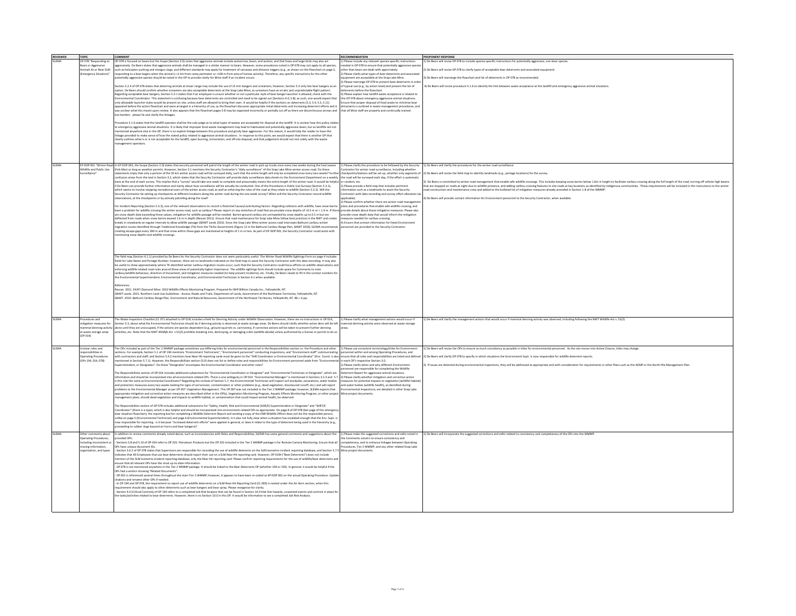| <b>REVIEWER</b> | <b>TOPIC</b>                | <b>COMMENT</b>                                                                                                                                                                                                                                                                                                                                               | <b>RECOMMENDATION</b>                                           | PROPONENT RESPONSE                                                                                                                                                                                                             |
|-----------------|-----------------------------|--------------------------------------------------------------------------------------------------------------------------------------------------------------------------------------------------------------------------------------------------------------------------------------------------------------------------------------------------------------|-----------------------------------------------------------------|--------------------------------------------------------------------------------------------------------------------------------------------------------------------------------------------------------------------------------|
| <b>SI FMA</b>   | OP 078 "Responding to       | OP 078 is focused on bears but the Scope (Section 2.0) notes that aggressive animals include wolverines, bears, and wolves; and that foxes and large birds may also act                                                                                                                                                                                      | Please include any relevant species-specific instruction        | 1) De Beers will revise OP 078 to include species-specific instructions for potentially aggressive, non-bear species.                                                                                                          |
|                 |                             | ggressively. De Beers states that aggressive animals shall be managed in a similar manner to bears. However, some procedures noted in OP 078 may not apply to all species,                                                                                                                                                                                   | reded in OP 078 to ensure that potentially aggressive speci-    |                                                                                                                                                                                                                                |
|                 | Bears or Aggressive         |                                                                                                                                                                                                                                                                                                                                                              |                                                                 |                                                                                                                                                                                                                                |
|                 | Animals At or Near SLM      | uch as helicopter pushing and shotgun slugs, and different standards may apply for treatment of carcasses and distance triggers (e.g., as shown on the flowchart on page 5,                                                                                                                                                                                  | her than bears are dealt with approriately.                     | De Beers will revise OP 078 to clarify types of acceptable bear deterrents and associated equipment                                                                                                                            |
|                 | (Emergency Situation)"      | sponding to a bear begins when the animal is <1 km from camp perimeter or <100 m from area of human activity). Therefore, any specific instructions for the other                                                                                                                                                                                            | ) Please clarify what types of bear deterrents and associa      |                                                                                                                                                                                                                                |
|                 |                             | entially aggressive species should be noted in the OP to provide clarity for Mine staff if an incident occurs.                                                                                                                                                                                                                                               | uipment are acceptable at the Snap Lake Mine.                   | De Beers will rearrange the flowchart and list of deterrents in OP 078 as recommended.                                                                                                                                         |
|                 |                             |                                                                                                                                                                                                                                                                                                                                                              | Please rearrange OP 078 to present bear deterrents in order     |                                                                                                                                                                                                                                |
|                 |                             | iection 5.2.4 of OP 078 states that deterring animals at closer range may include the use of 15 mm bangers and screamers; however, Section 5.3 only lists bear bangers as an                                                                                                                                                                                 | typical use (e.g., by action level) and present the list of     | 4) De Beers will revise procedure 5.1.6 to identify the link between waste acceptance at the landfill and emergency appressive animal situations                                                                               |
|                 |                             | option. De Beers should confirm whether screamers are also acceptable deterrents at the Snap Lake Mine, as screamers have an erratic and unpredictable flight pattern.                                                                                                                                                                                       | terrents before the flowchart.                                  |                                                                                                                                                                                                                                |
|                 |                             | Regarding acceptable bear bangers, Section 5.3.1 states that if an employee is unsure whether or not a particular style of bear banger launcher is allowed, check with the                                                                                                                                                                                   | Please explain how landfill waste acceptance is related to      |                                                                                                                                                                                                                                |
|                 |                             | mental Coordinator. This statement is confusing because bear deterrents are controlled and need to be signed out (Sections 4.0, 5.8); as such, one would expect that                                                                                                                                                                                         | his OP 078 about emergency aggressive animal situations.        |                                                                                                                                                                                                                                |
|                 |                             | inly allowable launcher styles would be present on site, unless staff are allowed to bring their own. It would be helpful if the sections on deterrents (5.3, 5.4, 5.5, 5.11)                                                                                                                                                                                | nsure that proper disposal of food waste to minimize bear       |                                                                                                                                                                                                                                |
|                 |                             | ppeared before the action flowchart and were arranged in a hierarchy of use, as the flowchart discusses appropriate initial deterrents and increasing deterrent efforts and it                                                                                                                                                                               | sttractants is outlined in waste management procedures, and     |                                                                                                                                                                                                                                |
|                 |                             | as unclear what this meant upon review. It also appears that the flowchart pages 5-8 may be organized incorrectly or partially cut off as there are discontinuous arrows and                                                                                                                                                                                 | that all Mine staff are properly and continually trained.       |                                                                                                                                                                                                                                |
|                 |                             | ox borders - please fix and clarify the linkages.                                                                                                                                                                                                                                                                                                            |                                                                 |                                                                                                                                                                                                                                |
|                 |                             |                                                                                                                                                                                                                                                                                                                                                              |                                                                 |                                                                                                                                                                                                                                |
|                 |                             | ocedure 5.1.6 states that the landfill operator shall be the sole judge as to what types of wastes are acceptable for disposal at the landfill. It is unclear how this policy relate                                                                                                                                                                         |                                                                 |                                                                                                                                                                                                                                |
|                 |                             | to emergency aggressive animal situations. It is likely that improper food waste management may lead to habituated and potentially aggressive bears, but as landfills are not                                                                                                                                                                                |                                                                 |                                                                                                                                                                                                                                |
|                 |                             | entioned anywhere else in the OP, there is no explicit linkage between this procedure and grizzly bear aggression. For this reason, it would help the reader to have this                                                                                                                                                                                    |                                                                 |                                                                                                                                                                                                                                |
|                 |                             | nkage provided to make sense of how the stated policy related to aggressive animal situations . In response to this point, we would expect that there is another OP that                                                                                                                                                                                     |                                                                 |                                                                                                                                                                                                                                |
|                 |                             | clearly outlines what is or is not acceptable for the landfill, open burning, incineration, and off-site disposal; and that judgement should not rest solely with the waste                                                                                                                                                                                  |                                                                 |                                                                                                                                                                                                                                |
|                 |                             | nagement operators.                                                                                                                                                                                                                                                                                                                                          |                                                                 |                                                                                                                                                                                                                                |
|                 |                             |                                                                                                                                                                                                                                                                                                                                                              |                                                                 |                                                                                                                                                                                                                                |
|                 |                             |                                                                                                                                                                                                                                                                                                                                                              |                                                                 |                                                                                                                                                                                                                                |
|                 |                             |                                                                                                                                                                                                                                                                                                                                                              |                                                                 |                                                                                                                                                                                                                                |
|                 |                             |                                                                                                                                                                                                                                                                                                                                                              |                                                                 |                                                                                                                                                                                                                                |
| SI FMA          |                             | EP-DOP 001 "Winter Road In EP-DOP 001, the Scope (Section 2.0) states that security personnel will patrol the length of the winter road in pick-up trucks once every two weeks during the haul season                                                                                                                                                        | I) Please clarify the procedure to be followed by the Security  | 1) De Reers will clarify the procedures for the winter road surveillance                                                                                                                                                       |
|                 | rildlife and Public Use     | (Feb-Mar) so long as weather permits. However, Section 3.1 mentions the Security Contractor's "daily surveillance" of the Snap Lake Mine winter access road. Do these                                                                                                                                                                                        | intractor for winter road surveillance, including whethe        |                                                                                                                                                                                                                                |
|                 | Surveillance"               | atements imply that only a portion of the 35 km winter access road will be surveyed daily, such that the entire length will only be completed once every two weeks? Further                                                                                                                                                                                  | heckpoints/stations will be set up, whether only segments of    | .) De Beers will revise the field map to identify landmarks (e.g., portage locations) for the survey.                                                                                                                          |
|                 |                             | onfusion arises from the text in Section 3.2, which states that the Security Contractor will provide daily surveillance data sheets to the Environment Department on a weekly                                                                                                                                                                                | the road will be surveyed each day, if the effort is systematic |                                                                                                                                                                                                                                |
|                 |                             | asis at the end of each survey. This implies that a "survey" would take one week to complete and presumably means the entire length of the winter road. It would be helpful                                                                                                                                                                                  | or random, etc.                                                 | De Beers is committed to winter road management that enable safe wildlife crossings. This includes keeping snow berms below 1.6m in height to facilitate caribou crossing along the full length of the road, turning off vehic |
|                 |                             | if De Beers can provide further information and clarity about how surveillance will be actually be conducted. One of the Procedures is Public Use Surveys (Section 5.3.1),                                                                                                                                                                                   | ) Please provide a field map that includes pertinen             | hat are stopped on roads at night due to wildlife presence, and adding caribou crossing features to site roads at key locations as identified by Indigenous communities. These requ<br>ements will be included in the          |
|                 |                             | which seems to involve stopping recreational users of the winter access road, as well as enforcing the rules of the road as they relate to wildlife (Section 5.3.2). Will the                                                                                                                                                                                | ormation such as a landmarks to assist the Security             | ad construction and maintenance crew and added to the bulleted list of mitigation measures already provided in Section 1.8 of the WMMP.                                                                                        |
|                 |                             | iecurity Contractor be setting up checkpoints at different locations along the winter road during the one-week survey? When will the Security Contractor record wildlife                                                                                                                                                                                     | ontractor with data recording and survey effort allocation (    |                                                                                                                                                                                                                                |
|                 |                             | ervations, at the checkpoints or by actively patrolling along the road?                                                                                                                                                                                                                                                                                      | plicable).                                                      | De Beers will provide contact information for Environment personnel to the Security Contractor, when availabl-                                                                                                                 |
|                 |                             |                                                                                                                                                                                                                                                                                                                                                              | Please confirm whether there are winter road manages            |                                                                                                                                                                                                                                |
|                 |                             | or Incident Reporting (Section 5.3.3), one of the relevant observations to record is Potential Causes/contributing factors. Regarding collisions with wildlife, have snow berms                                                                                                                                                                              | plans and procedures that enable safe wildlife crossing, and    |                                                                                                                                                                                                                                |
|                 |                             | oeen a problem for wildlife crossing the winter access road, such as caribou? Please report on any stretches of road that accumulate snow depths of >0.5 m or > 1.6 m. If then                                                                                                                                                                               | vide details about these mitigation measures. Please also       |                                                                                                                                                                                                                                |
|                 |                             | are snow depth data exceeding these values, mitigation for wildlife passage will be needed. Barren-ground caribou are unimpeded by snow depths up to 0.5 m but are                                                                                                                                                                                           | ovide snow depth data that would inform the mitigation          |                                                                                                                                                                                                                                |
|                 |                             | leflected from roads when snow berms exceed 1.6 m in depth (Rescan 2011). Ensure that road maintenance for Snap Lake Mine follow best practices in the NWT and create                                                                                                                                                                                        | easures needed for caribou crossing.                            |                                                                                                                                                                                                                                |
|                 |                             | oreaks in snowbanks at regular intervals to allow wildlife passage (GNWT Lands 2015). Since the Snap Lake Mine winter access road intercepts Bathurst caribou winter                                                                                                                                                                                         | Ensure that contact information for listed Environment          |                                                                                                                                                                                                                                |
|                 |                             | igration routes identified through Traditional Knowledge (TK) from the Tlicho Government (Figure 12 in the Bathurst Caribou Range Plan, GNWT 2019), SLEMA recomm                                                                                                                                                                                             | nnel are provided to the Security Contractor.                   |                                                                                                                                                                                                                                |
|                 |                             |                                                                                                                                                                                                                                                                                                                                                              |                                                                 |                                                                                                                                                                                                                                |
|                 |                             | reating escape gaps every 200 m and that snow within these gaps are maintained at heights of 1 m or less. As part of EP-DOP 001, the Security Contractor could assist with                                                                                                                                                                                   |                                                                 |                                                                                                                                                                                                                                |
|                 |                             | toring snow depths and wildlife crossings.                                                                                                                                                                                                                                                                                                                   |                                                                 |                                                                                                                                                                                                                                |
|                 |                             |                                                                                                                                                                                                                                                                                                                                                              |                                                                 |                                                                                                                                                                                                                                |
|                 |                             |                                                                                                                                                                                                                                                                                                                                                              |                                                                 |                                                                                                                                                                                                                                |
|                 |                             |                                                                                                                                                                                                                                                                                                                                                              |                                                                 |                                                                                                                                                                                                                                |
|                 |                             |                                                                                                                                                                                                                                                                                                                                                              |                                                                 |                                                                                                                                                                                                                                |
|                 |                             | The field map (Section 6.1.1) provided by De Beers for the Security Contractor does not seem particularly useful. The Winter Road Wildlife Sightings Form on page 4 includes                                                                                                                                                                                 |                                                                 |                                                                                                                                                                                                                                |
|                 |                             | lelds for Lake Name and Portage Number; however, there are no landmarks indicated on the field map to assist the Security Contractor with this data recording. It may also                                                                                                                                                                                   |                                                                 |                                                                                                                                                                                                                                |
|                 |                             | be useful to show approximately where TK-identified winter caribou migration routes occur, such that the Security Contractor could focus efforts on wildlife observations an                                                                                                                                                                                 |                                                                 |                                                                                                                                                                                                                                |
|                 |                             | nforcing wildlife-related road rules around these areas of potentially higher importance. The wildlife sightings form should include space for Comments to note                                                                                                                                                                                              |                                                                 |                                                                                                                                                                                                                                |
|                 |                             | eribou/wildlife behaviour, direction of movement, and mitigation measures needed (to help prevent incidents), etc. Finally, De Beers needs to fill in the contact numbers fo                                                                                                                                                                                 |                                                                 |                                                                                                                                                                                                                                |
|                 |                             | he Environmental Superintendent, Environmental Coordinator, and Environmental Technician in Section 6.1 when available                                                                                                                                                                                                                                       |                                                                 |                                                                                                                                                                                                                                |
|                 |                             |                                                                                                                                                                                                                                                                                                                                                              |                                                                 |                                                                                                                                                                                                                                |
|                 |                             | ferences                                                                                                                                                                                                                                                                                                                                                     |                                                                 |                                                                                                                                                                                                                                |
|                 |                             | lescan. 2011. EKATI Diamond Mine: 2010 Wildlife Effects Monitoring Program. Prepared for BHP Billiton Canada Inc., Yellowknife, NT.                                                                                                                                                                                                                          |                                                                 |                                                                                                                                                                                                                                |
|                 |                             | GNWT Lands. 2015. Northern Land Use Guidelines - Access: Roads and Trails. Department of Lands, Government of the Northwest Territories, Yellowknife, NT.<br>GNWT. 2019. Bathurst Caribou Range Plan. Environment and Natural Res                                                                                                                            |                                                                 |                                                                                                                                                                                                                                |
|                 |                             |                                                                                                                                                                                                                                                                                                                                                              |                                                                 |                                                                                                                                                                                                                                |
|                 |                             |                                                                                                                                                                                                                                                                                                                                                              |                                                                 |                                                                                                                                                                                                                                |
|                 |                             |                                                                                                                                                                                                                                                                                                                                                              |                                                                 |                                                                                                                                                                                                                                |
|                 |                             |                                                                                                                                                                                                                                                                                                                                                              |                                                                 |                                                                                                                                                                                                                                |
| <b>SLEMA</b>    | Procedures and              | he Waste Inspection Checklist (CL 071 attached to OP 014) includes a field for Denning Activity under Wildlife Observation. However, there are no instructions in OP 014.                                                                                                                                                                                    | () Please clarify what management actions would occur if        |                                                                                                                                                                                                                                |
|                 | nitigation measures for     | Section 5.3, about what the Environmental Technician should do if denning activity is observed at waste storage areas. De Beers should clarify whether active dens will be left                                                                                                                                                                              | ammal denning activity were observed at waste storage           | 1) De Beers will clarify the management actions that would occur if mammal denning activity was observed, including following the NWT Wildlife Act s. 51(2).                                                                   |
|                 | nmal denning activity       |                                                                                                                                                                                                                                                                                                                                                              |                                                                 |                                                                                                                                                                                                                                |
|                 | at waste storage areas      | lone until they are unoccupied, if the actions are species dependent (e.g., ground squirrels vs. carnivores), if corrective actions will be taken to prevent further den<br>ctivities, etc. Note that the NWT Wildlife Act s.51(2) prohibits breaking into, destroying, or damaging a den (wildlife abode) unless authorized by a license or permit to do so |                                                                 |                                                                                                                                                                                                                                |
|                 | (OP 014)                    |                                                                                                                                                                                                                                                                                                                                                              |                                                                 |                                                                                                                                                                                                                                |
|                 |                             |                                                                                                                                                                                                                                                                                                                                                              |                                                                 |                                                                                                                                                                                                                                |
|                 |                             |                                                                                                                                                                                                                                                                                                                                                              |                                                                 |                                                                                                                                                                                                                                |
| <b>SLEMA</b>    | Unclear roles and           | The OPs included as part of the Tier 2 WMMP package sometimes use differing titles for environmental personnel in the Responsibilities section vs. the Procedure and other                                                                                                                                                                                   | 1) Please use consistent terminology/titles for Environme       | 1) De Beers will revise the OPs to ensure as much consistency as possible in titles for environmental personnel. As the site moves into Active Closure, titles may change.                                                     |
|                 | sponsibilities in           | tions. For example, Section 5.1 of OP 194 mentions "Environment Technicians", "Environment personnel" conducting inspections, and "Environment staff" cor                                                                                                                                                                                                    | sonnel within and among Operating Procedures, and               |                                                                                                                                                                                                                                |
|                 | <b>Operating Procedures</b> | with contractors and staff; and Section 5.4.2 mentions how Near Hit reporting cards must be given to the "SHR Coordinator or Environmental Coordinator" (Env. Coord. is also                                                                                                                                                                                 | sure that all roles and responsibilities are listed and defined | 2) De Beers will clarify OP 078 to specify in which situations the Environment Supt. Is now responsible for wildlife deterrent reports.                                                                                        |
|                 | (OPs 194, 014, 078)         | entioned in Section 5.7.1). However, the Responsibilities section (3.0) does not list or define roles and responsibilities for Environment personnel aside from "Environmental                                                                                                                                                                               | n each OP's respective Section 3.0.                             |                                                                                                                                                                                                                                |
|                 |                             | endent, or Designates". Do these "Designates" encompass the Environmental Coordinator and other roles?                                                                                                                                                                                                                                                       | ) Please clarify when and why different Enviro                  | If issues are detected during environmental inspections, they will be addressed as appropriate and with consideration for requirements in other Plans such as the AEMP or the North Pile Management Plan.                      |
|                 |                             |                                                                                                                                                                                                                                                                                                                                                              | onnel are responsible for completing the Wildlife               |                                                                                                                                                                                                                                |
|                 |                             | The Responsibilities section of OP 014 includes additional subsections for "Environmental Coordinator or Designate" and "Environmental Technician or Designate", which are<br>informative and should be incorporated into all env                                                                                                                            | terrent Report for aggressive animal situations.                |                                                                                                                                                                                                                                |
|                 |                             |                                                                                                                                                                                                                                                                                                                                                              | 3) Please clarify whether mitigation and corrective actio       |                                                                                                                                                                                                                                |
|                 |                             | s this role the same as Environmental Coordinator? Regarding the context of Section 5.7, the Environmental Technician will inspect soil stockpiles, excavations, water bodies                                                                                                                                                                                | asures for potential impacts to vegetation (wildlife habitat    |                                                                                                                                                                                                                                |
|                 |                             | and protection measures every two weeks looking for signs of soil erosion, contamination or other problems (e.g., dead vegetation, discoloured runoff, etc.) and will report                                                                                                                                                                                 | nd water bodies (wildlife health), as identified during         |                                                                                                                                                                                                                                |
|                 |                             | bblems to the Environmental Manager as per OP 007: Vegetation Management. This OP 007 was not included in the Tier 2 WMMP package; however, SLEMA expects that                                                                                                                                                                                               | vironmental Inspections, are detailed in other Snap Lake        |                                                                                                                                                                                                                                |
|                 |                             | propriate mitigation and corrective action measures are described either in the OP(s), Vegetation Monitoring Program, Aquatic Effects Monitoring Program, or other project<br>nagement plans, should dead vegetation and impacts to wildlife habitat, or contamination that could impact animal health, be observed                                          | Mine project documents                                          |                                                                                                                                                                                                                                |
|                 |                             |                                                                                                                                                                                                                                                                                                                                                              |                                                                 |                                                                                                                                                                                                                                |
|                 |                             | he Responsibilities section of OP 078 includes additional subsections for "Safety, Health, Risk and Environmental (SHR/E) Superintendent or Desginate" and "SHRT/E                                                                                                                                                                                           |                                                                 |                                                                                                                                                                                                                                |
|                 |                             |                                                                                                                                                                                                                                                                                                                                                              |                                                                 |                                                                                                                                                                                                                                |
|                 |                             | .<br>Coordinator" (there is a typo), which is also helpful and should be incorporated into environment-related OPs as appropriate. On page 8 of OP 078 (last page of the emerge<br>bear situation flowchart), the reporting box for                                                                                                                          |                                                                 |                                                                                                                                                                                                                                |
|                 |                             | nlike on page 5 (Environmental Technician) and page 6 (Environmental Superintendent). It is also not fully clear when a situation has escalated enough that the Env. Supt. i                                                                                                                                                                                 |                                                                 |                                                                                                                                                                                                                                |
|                 |                             | ow responsible for reporting - is it because "increased deterrent efforts" were applied in general, or does it relate to the type of deterrent being used in the hierarchy (e.g.,                                                                                                                                                                            |                                                                 |                                                                                                                                                                                                                                |
|                 |                             | oceeding to rubber slugs beyond air horns and bear bangers)?                                                                                                                                                                                                                                                                                                 |                                                                 |                                                                                                                                                                                                                                |
|                 |                             |                                                                                                                                                                                                                                                                                                                                                              |                                                                 |                                                                                                                                                                                                                                |
| <b>SLEMA</b>    | Other comments about        | n addition to review comments already noted above, such as inconsistencies with Roles and Responsibilities, SLEMA has some general comments and suggestions about the [1] Please make the suggested corrections and edits note                                                                                                                               |                                                                 |                                                                                                                                                                                                                                |
|                 | Operating Procedures,       | vided OPs:                                                                                                                                                                                                                                                                                                                                                   | the Comments column to ensure consistency and                   |                                                                                                                                                                                                                                |
|                 | including inconsistent o    | Sections 5.8 and 5.10 of OP 014 refer to OP 201: Petroleum Products but the OP 201 included in the Tier 2 WMMP package is for Remote Camera Monitoring. Ensure that all                                                                                                                                                                                      | ompleteness, and to enhance linkages between Operating          |                                                                                                                                                                                                                                |
|                 | nissing information,        | TPs have unique document IDs                                                                                                                                                                                                                                                                                                                                 | ocedures, Tier 2 WMMP, and any other related Snap Lake          |                                                                                                                                                                                                                                |
|                 | organization, and typos     | Section 3.6.2 of OP 078 states that Supervisors are responsible for recording the use of wildlife deterents on the SLM Isometrix incident reporting database, and Section 3.7.5 Mine project documents                                                                                                                                                       |                                                                 |                                                                                                                                                                                                                                |
|                 |                             | dicates that All Employees that use bear deterrents should report their use on a SLM Near Hit reporting card. However, OP 0194 ("Bear Deterrents") does not include                                                                                                                                                                                          |                                                                 |                                                                                                                                                                                                                                |
|                 |                             | ention of the SLM Isometrix incident reporting database, only the Near Hit reporting card. Please confirm reporting requirements for the use of wildlife/bear deterrents an                                                                                                                                                                                  |                                                                 |                                                                                                                                                                                                                                |
|                 |                             | nsure that all relevant OPs have the most up-to-date informatio                                                                                                                                                                                                                                                                                              |                                                                 |                                                                                                                                                                                                                                |
|                 |                             | OP 078 is not mentioned anywhere in the Tier 2 WMMP package. It should be linked to the Bear Deterrents OP (whether 194 or 193). In general, it would be helpful if the                                                                                                                                                                                      |                                                                 |                                                                                                                                                                                                                                |
|                 |                             | OPs had a section showing "Related Documents".                                                                                                                                                                                                                                                                                                               |                                                                 |                                                                                                                                                                                                                                |
|                 |                             | OP 001 is referenced several times throughout the main Tier 2 WMMP: however, it appears to have been re-coded as EP-DOP 001 on the actual Operating Procedure. Updat                                                                                                                                                                                         |                                                                 |                                                                                                                                                                                                                                |
|                 |                             | tations and rename other OPs if needed.                                                                                                                                                                                                                                                                                                                      |                                                                 |                                                                                                                                                                                                                                |
|                 |                             | In OP 194 and OP 078, the requirement to report use of wildlife deterrents on a SLM Near Hit Reporting Card (CL 003) is nested under the Air Horn section, when thi                                                                                                                                                                                          |                                                                 |                                                                                                                                                                                                                                |
|                 |                             | guirement should also apply to other deterrents such as bear bangers and bear spray. Please reorganize for clarity,                                                                                                                                                                                                                                          |                                                                 |                                                                                                                                                                                                                                |
|                 |                             | Section 4.0 (Critical Controls) of OP 194 refers to a completed Job Risk Analysis that can be found in Section 10.0 that lists hazards, unwanted events and controls in place fo<br>e tasks/activities related to bear deterrents. However, there is no Section 10.0 in this OP. It would be informative to see a completed Job Risk Analysis.               |                                                                 |                                                                                                                                                                                                                                |
|                 |                             |                                                                                                                                                                                                                                                                                                                                                              |                                                                 |                                                                                                                                                                                                                                |
|                 |                             |                                                                                                                                                                                                                                                                                                                                                              |                                                                 |                                                                                                                                                                                                                                |
|                 |                             |                                                                                                                                                                                                                                                                                                                                                              |                                                                 |                                                                                                                                                                                                                                |
|                 |                             |                                                                                                                                                                                                                                                                                                                                                              |                                                                 |                                                                                                                                                                                                                                |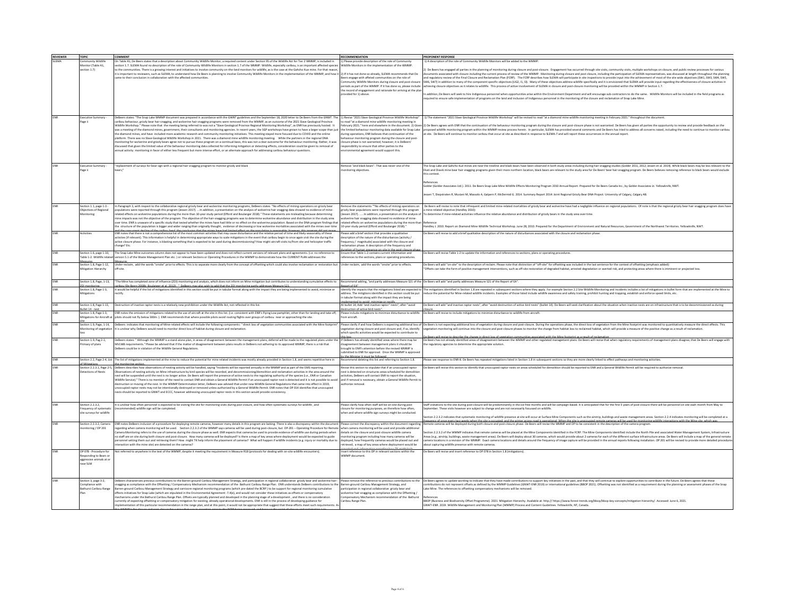| <b>REVIEWER</b> | <b>TOPIC</b>                                    | <b>COMMENT</b>                                                                                                                                                                                                                                                                                                                                                                | RECOMMENDATION                                                                                                             | PROPONENT RESPONSE                                                                                                                                                                                                                                                       |
|-----------------|-------------------------------------------------|-------------------------------------------------------------------------------------------------------------------------------------------------------------------------------------------------------------------------------------------------------------------------------------------------------------------------------------------------------------------------------|----------------------------------------------------------------------------------------------------------------------------|--------------------------------------------------------------------------------------------------------------------------------------------------------------------------------------------------------------------------------------------------------------------------|
| <b>UFMA</b>     | nmunity Wildlife                                | On Table A1, De Beers states that a description about Community Wildlife Monitor, a required content under Section 95 of the Wildlife Act for Tier 2 WMMP, is included in                                                                                                                                                                                                     | ) Please provide description of the role of Commun                                                                         | I) A description of the role of Community Wildlife Monitors will be added to the WMMF                                                                                                                                                                                    |
|                 | Monitor (Table A1.                              | section 1.7. SLEMA found no description of the role of Community Wildlife Monitors in section 1.7 of the WMMP. Wildlife, especially caribou, is an important affected species                                                                                                                                                                                                 | fildlife Monitors in the implementation of the WMMP.                                                                       |                                                                                                                                                                                                                                                                          |
|                 | ection 1.7)                                     | o the communities. There is a growing interest and initiatives to involve community on the land monitors for wildlife, as is the case at the Gahcho Kue mine. For that reason                                                                                                                                                                                                 |                                                                                                                            | De Beers has engaged all parties in the planning of monitoring during closure and post-closure. Engagement has occurred through site visits, community visits, multiple workshops on closure, and public review processes for                                            |
|                 |                                                 | Is important to reviewers, such as SLEMA, to understand how De Beers is planning to involve Community Wildlife Monitors in the implementation of the WMMP, and how it                                                                                                                                                                                                         | 2) If it has not done so already, SLEMA recommends that De                                                                 | ments associated with closure including the current process of review of the WMMP. Monitoring during closure and post closure, including the participation of SLEMA representatives, was discussed at length throughout the pl                                           |
|                 |                                                 | ame to their conclusion in collaboration with the affected communities.                                                                                                                                                                                                                                                                                                       | eers engage with affeted communities on the role of                                                                        | nd regulatory review of the Final Closure and Reclamation Plan (FCRP). The FCRP describes how SLEMA will participate in site inspections to provide input into the achievement of most of the site wide objectives (SW1, SW3,                                            |
|                 |                                                 |                                                                                                                                                                                                                                                                                                                                                                               | nmunity Wildlife Monitors during closure and post-clos                                                                     | W6, SW7) in addition to many of the component specific objectives (UG2, 11, 13). Many of these objectives address wildlife specifically and it is envisioned that SLEMA will provide input regarding the effectiveness of clos                                           |
|                 |                                                 |                                                                                                                                                                                                                                                                                                                                                                               | riods as part of the WMMP. If it has done so, please include                                                               | ileving closure objectives as it relates to wildlife. This process of active involvement of SLEMA in closure and post-closure monitoring will be provided within the WMMP in Section 1.7.                                                                                |
|                 |                                                 |                                                                                                                                                                                                                                                                                                                                                                               | the record of engagement and rationale for arriving at the plan                                                            |                                                                                                                                                                                                                                                                          |
|                 |                                                 |                                                                                                                                                                                                                                                                                                                                                                               | ovided for 1) above.                                                                                                       | addition, De Beers will seek to hire Indigenous personnel when opportunities arise within the Environment Department and will encourage sub-contractors to do the same. Wildlife Monitors will be included in the field progra                                           |
|                 |                                                 |                                                                                                                                                                                                                                                                                                                                                                               |                                                                                                                            | quired to ensure safe implementation of programs on the land and inclusion of Indigenous personnel in the monitoring of the closure and reclamation of Snap Lake Mine.                                                                                                   |
|                 |                                                 |                                                                                                                                                                                                                                                                                                                                                                               |                                                                                                                            |                                                                                                                                                                                                                                                                          |
|                 |                                                 |                                                                                                                                                                                                                                                                                                                                                                               |                                                                                                                            |                                                                                                                                                                                                                                                                          |
|                 |                                                 |                                                                                                                                                                                                                                                                                                                                                                               |                                                                                                                            |                                                                                                                                                                                                                                                                          |
|                 | xecutive Summary                                | eBeers states: "The Snap Lake WMMP document was prepared in accordance with the GWNT guidelines and the September 18, 2020 letter to De Beers from the GNWT. The                                                                                                                                                                                                              | 1) Revise "2021 Slave Geological Province Wildlife Workshop                                                                | 1) The statement "2021 Slave Geological Province Wildlife Workshop" will be revised to read "at a diamond mine wildlife monitoring meeting in February 2021." throughout the document.                                                                                   |
|                 | age i                                           | ribou behaviour, grizzly bear hair snagging, and wolverine hair snagging programs were removed from the WMMP, as an outcome of the 2021 Slave Geological Province                                                                                                                                                                                                             | read "at a diamond mine wildlife monitoring meeting in                                                                     |                                                                                                                                                                                                                                                                          |
|                 |                                                 | Wildlife Workshop." Please note that the meeting being referred to was not a "Slave Geological Province Regional Monitoring Workshop", as ENR has previously hosted. It<br>was a meeting of the diamond mines, government, their consultants and monitoring agencies. In recent years, the SGP workshops have grown to have a larger scope than just                          |                                                                                                                            | -<br>busy 2011, her ad clearker in the doumer. 2) Gwel 2) De Bers are sure that the the chanculos of the the behavir monitoring program during the production in and protection in an distribution in an distribution in an indep                                        |
|                 |                                                 | the diamond mines, and have included more academic research and community monitoring initiatives. This meeting stayed more focused due to COVID and the online                                                                                                                                                                                                                | ring operations, ENR believes that continuation of the                                                                     | site. De Beers will continue to monitor caribou that occur at site as described in response to SLEMA-7 and will report these occurrences in the annual report                                                                                                            |
|                 |                                                 | platform. There was no Slave Geological Wildlife Workshop in 2021. There was a diamond mine wildlife monitoring meeting. While the partners in the regional DNA                                                                                                                                                                                                               | aviour monitoring program during the closure and post-                                                                     |                                                                                                                                                                                                                                                                          |
|                 |                                                 | onitoring for wolvering and grizzly bears agree not to pursue these program on a continual basis, this was not a clear outcome for the behaviour monitoring. Rather, it was                                                                                                                                                                                                   | sure phase is not warranted: however, it is DeBeers'                                                                       |                                                                                                                                                                                                                                                                          |
|                 |                                                 | cussed that given the limited value of the behaviour monitoring data collected for informing mitigation or detecting effects, consideration could be given to removal of                                                                                                                                                                                                      | ponsibility to ensure that other parties to the                                                                            |                                                                                                                                                                                                                                                                          |
|                 |                                                 | nual activity monitoring in favor of either less frequent but more intense effort, or an alternate approach for addressing caribou behaviour questic                                                                                                                                                                                                                          | onmental agreement would support this.                                                                                     |                                                                                                                                                                                                                                                                          |
|                 |                                                 |                                                                                                                                                                                                                                                                                                                                                                               |                                                                                                                            |                                                                                                                                                                                                                                                                          |
|                 |                                                 |                                                                                                                                                                                                                                                                                                                                                                               |                                                                                                                            |                                                                                                                                                                                                                                                                          |
|                 | kecutive Summary                                | replacement of surveys for bear sign with a regional hair snagging program to monitor grizzly and black                                                                                                                                                                                                                                                                       | move "and black bears". That was never one of the                                                                          | he Snap Lake and Gahcho Kué mines are near the treeline and black bears have been observed in both study areas including during hair snagging studies (Golder 2011, 2012; Jessen et al. 2014). While black bears may be less r                                           |
|                 | age ii                                          |                                                                                                                                                                                                                                                                                                                                                                               | onitoring objectives.                                                                                                      | Ekati and Diavik mine bear hair snagging programs given their more northern location, black bears are relevant to the study area for De Beers' bear hair snagging program. De Beers believes removing reference to black bears                                           |
|                 |                                                 |                                                                                                                                                                                                                                                                                                                                                                               |                                                                                                                            | this context.                                                                                                                                                                                                                                                            |
|                 |                                                 |                                                                                                                                                                                                                                                                                                                                                                               |                                                                                                                            | References                                                                                                                                                                                                                                                               |
|                 |                                                 |                                                                                                                                                                                                                                                                                                                                                                               |                                                                                                                            | Golder (Golder Associates Ltd.). 2011. De Beers Snap Lake Mine Wildlife Effects Monitoring Program 2010 Annual Report. Prepared for De Beers Canada Inc., by Golder Associates Lt. Yellowknife, NWT.                                                                     |
|                 |                                                 |                                                                                                                                                                                                                                                                                                                                                                               |                                                                                                                            |                                                                                                                                                                                                                                                                          |
|                 |                                                 |                                                                                                                                                                                                                                                                                                                                                                               |                                                                                                                            | essen T, Diepstraten R, Musiani M, Massolo A, Galpern P, McDermid G. 2014. Summary Report 2014: Joint Regional Grizzly Bear DNA Project. University of Calgary, Calgary, AB.                                                                                             |
|                 |                                                 |                                                                                                                                                                                                                                                                                                                                                                               |                                                                                                                            |                                                                                                                                                                                                                                                                          |
|                 |                                                 |                                                                                                                                                                                                                                                                                                                                                                               |                                                                                                                            |                                                                                                                                                                                                                                                                          |
|                 | ection 1.1, page 1-3 -<br>Objectives of Regiona | In Paragraph 3, with respect to the collaborative regional grizzly bear and wolverine monitoring programs, DeBeers states "No effects of mining operations on grizzly bear<br>ulations were reported through this program (Jessen 2017). In addition, a presentation on the analysis of wolverine hair snagging data showed no evidence of mine-                              | love the statements ""No effects of mining operations on<br>zly bear populations were reported through this program        | be Beers will revise to note that infrequent and limited mine-related mortalities of grizzly bear and wolverine have had a negligible influence on regional populations. Of note is that the regional grizzly bear hair snaggi<br>nine-related objective (Handley 2010): |
|                 | lonitoring                                      | related effects on wolverine populations during the more than 10-year study period (Efford and Boulanger 2018)." These statements are misleading because determining                                                                                                                                                                                                          | ssen 2017).  In addition, a presentation on the analysis of                                                                | determine if mine-related activities influence the relative abundance and distribution of grizzly bears in the study area over time.                                                                                                                                     |
|                 |                                                 | mine impacts was not the objective of the program. The objective of the hair-snagging programs was to determine wolverine abundance and distribution in the study area                                                                                                                                                                                                        | erine hair snagging data showed no evidence of mine-                                                                       |                                                                                                                                                                                                                                                                          |
|                 |                                                 | ver time. ENR is unaware of a specific study that tested whether the mines have had little or no effect on the wolverine population. Based on the DNA program findings that                                                                                                                                                                                                   | lated effects on wolverine populations during the more that                                                                |                                                                                                                                                                                                                                                                          |
|                 |                                                 | the structure of the population is bigger and wider ranging than originally thought, evidence of decreasing or low wolverine mortalities associated with the mines over time                                                                                                                                                                                                  | 3-year study period (Efford and Boulanger 2018)."                                                                          | andley J. 2010. Report on Diamond Mine Wildlife Technical Workshop. June 28. 2010. Prepared for the Department of Environment and Natural Resources. Government of the Northwest Territories. Yellowknife. NWT.                                                          |
|                 | ctivities                                       | ENR notes that there is not a comprehensive list of the most common activities that may cause disturbance and the relative period of time and likely seasonality of these                                                                                                                                                                                                     | ase add a brief section that provides a qualitative                                                                        | Beers will revise to add a brief qualitative description of the nature of disturbances associated with the closure and reclamation phase.                                                                                                                                |
|                 |                                                 | activties (if relevant). This information is helpful in determining appropriate ways to scale mitigations in the event that caribou begin to once again visit the site during the                                                                                                                                                                                             | scription of the nature of the disturbances (activity /                                                                    |                                                                                                                                                                                                                                                                          |
|                 |                                                 | active closure phase. For instance, is blasting something that is expected to be used during decommissioning? How might aircraft visits to/from site and helicopter traffic                                                                                                                                                                                                   | equency / magnitude) associated with the closure and                                                                       |                                                                                                                                                                                                                                                                          |
|                 |                                                 | ange? Etc.                                                                                                                                                                                                                                                                                                                                                                    | amation phase. A description of the frequency and                                                                          |                                                                                                                                                                                                                                                                          |
|                 | section 1.6, page 1-10,                         | The Snap Lake Mine outcomes column does not appear to have been updated and does not reflect current versions of relevant plans and agreements. (i.e. no reference to                                                                                                                                                                                                         | irstian of human nearance on cita in the nort-closure o<br>nsure that Table 1-2 contains current information and           | De Beers will revise Table 1-2 to update the information and references to sections, plans or operating procedures.                                                                                                                                                      |
|                 | able 1-2. Wildlife relate                       | version 5.1 of the Waste Management Plan etc. I or relevant Sections or Operating Procedures in the WMMP to demonstrate how the CURRENT PLAN addresses the                                                                                                                                                                                                                    | ferences to the sections, plans or operating procedures.                                                                   |                                                                                                                                                                                                                                                                          |
|                 |                                                 |                                                                                                                                                                                                                                                                                                                                                                               |                                                                                                                            |                                                                                                                                                                                                                                                                          |
|                 | ection 1.8, Page 1-12,                          | Under reclaim, add the words "onsite" prior to effects. This is to separate more clearly from the concept of offsetting which could also involve reclamation or restoration but                                                                                                                                                                                               | nder reclaim, add the words "onsite" prior to effects.                                                                     | De Beers will add "on-site" to the description of reclaim. Please note that distinction of "off-site" for offsetting was included in the last sentence for the context of offsetting (emphasis added):                                                                   |
|                 | litigation Hierarchy                            |                                                                                                                                                                                                                                                                                                                                                                               |                                                                                                                            | Offsets can take the form of positive management interventions, such as off-site restoration of degraded habitat, arrested degradation or averted risk, and protecting areas where there is imminent or projected loss                                                   |
|                 |                                                 |                                                                                                                                                                                                                                                                                                                                                                               |                                                                                                                            |                                                                                                                                                                                                                                                                          |
|                 | ection 1.8, Page, 1-13,                         | "The Mine has completed zone of influence (201) monitoring and analysis, which does not inform on Mine mitigation but contributes to understanding cumulative effects to                                                                                                                                                                                                      |                                                                                                                            | ecommend adding, "and partly addresses Measure S21 of the De Beers will add "and partly addresses Measure S21 of the Report of EA".                                                                                                                                      |
|                 |                                                 | ibou (De Beers 2008b: Boulaneer et al. 2012). * DeBeers may also wish to add that the ZOI monitorine partly addresses Measure \$21.                                                                                                                                                                                                                                           | ort of EA"                                                                                                                 |                                                                                                                                                                                                                                                                          |
|                 | Section 1.8. Page 1-3.                          | It would be helpful if the list of mitigations identified in this section could be put in tabular format along with the impact they are being implemented to avoid, minimize or                                                                                                                                                                                               |                                                                                                                            | dentify the impacts that the mitigations listed are expected to The mitigations identified in Section 1.8 are repeated in subsequent sections where they apply. For example Section 2.2 Site Wildlife Monitoring and Incidents                                           |
|                 | <b>Aitigations</b>                              | :tifv.                                                                                                                                                                                                                                                                                                                                                                        | dress. The mitigtions identified in this section could be put                                                              | duce the potential for Mine-related wildlife incidents. Examples of those listed include wildlife awareness and safety training, prohibit hunting and trapping, establish and enforce speed limits, etc.                                                                 |
|                 |                                                 |                                                                                                                                                                                                                                                                                                                                                                               | tabular format along with the impact they are being<br>clamanted to sunid minimize or rectify                              |                                                                                                                                                                                                                                                                          |
|                 | Section 1.8. Page 1-13.                         | Destruction of inactive raptor nests is a relatively new prohibition under the Wildlife Act, not reflected in this list.                                                                                                                                                                                                                                                      | At bullet 14, Add "and inactive raptor" nests", after "avoid                                                               | De Beers will add "and inactive raptor nests", after "avoid destruction of active bird nests" (bullet 14). De Beers will seek clarification about the situation when inactive nests are on infrastructure that is to be decomm                                           |
|                 | ullet 14 - nest                                 |                                                                                                                                                                                                                                                                                                                                                                               | struction of active bird nests".                                                                                           |                                                                                                                                                                                                                                                                          |
|                 | Section 1.8, Page 1-3,                          | ENR notes the omission of mitigations related to the use of aircraft at the site in this list. (i.e. consistent with ENR's Flying Low pamphlet, other than for landing and take off,<br>Witleations for Aircraft at pilots should not fly below 300m. ). ENR recommends that where possible pilots ayoid routing flights over groups of caribou near or approaching the site. | Please include mitigations to minimize disturbance to wildlife<br>om aircraft.                                             | De Beers will revise to include mitigations to minimize disturbance to wildlife from aircraft                                                                                                                                                                            |
|                 |                                                 |                                                                                                                                                                                                                                                                                                                                                                               |                                                                                                                            |                                                                                                                                                                                                                                                                          |
|                 | ection 1.9, Page, 1-14.                         |                                                                                                                                                                                                                                                                                                                                                                               |                                                                                                                            | DeBeers indicates that monitoring of Mine-related effects will include the following components:" direct loss of venetation communities associated with the Mine footprint". Please clarify if and how DeBeers is expecting ad                                           |
|                 | nitoring of vegetatio                           | It is unclear why DeBeers would need to monitor direct loss of habitat during closure and reclamation                                                                                                                                                                                                                                                                         | getation during closure and post-closure and, if so, identify                                                              | spetation monitoring will continue into the closure and post-closure phases to monitor the change from habitat loss to reclaimed habitat, which will provide a measure of the positive change as a result of reclamation                                                 |
|                 |                                                 |                                                                                                                                                                                                                                                                                                                                                                               | hich specific activities would be expected to contribute to                                                                | mira to darriba tha chuna in diract lors of waatutino communitiar urroristad with the Mine footnoint ur a racult of racism                                                                                                                                               |
|                 | Section 1.9. Pag 2-1.                           | DeBeers states: "Although the WMMP is a stand-alone plan, in areas of disagreement between the management plans, deferral will be made to the regulated plans under the lif DeBeers has already identified areas where there m                                                                                                                                                |                                                                                                                            | De Beers has not already identified areas of disagreement between the WMMP and other regulated management plans. De Beers will revise that when regulatory requirements of management plans disagree, that De Beers will engag                                           |
|                 | imacy of plans                                  | MVLWB requirements." Please be advised that if the matter of disagreement between plans results in DeBeers not adhering to its approved WMMP, there is a risk that                                                                                                                                                                                                            | sagreement between management plans it should be                                                                           | e regulatory agencies to determine the appropriate solution.                                                                                                                                                                                                             |
|                 |                                                 | Beers could be in violation of the Wildlife General Regulations.                                                                                                                                                                                                                                                                                                              | ought to ENR's attention before the revised WMMP is                                                                        |                                                                                                                                                                                                                                                                          |
|                 |                                                 |                                                                                                                                                                                                                                                                                                                                                                               | bmitted to ENR for approval. Once the WMMP is approve<br>ha Minister it must ha fr                                         |                                                                                                                                                                                                                                                                          |
|                 |                                                 | lection 2.2, Page 2-4, List The list of mitigations implemented at the mine to reduce the potential for mine related incidents was mostly already provided in Section 1.8, and seems repetitive here in                                                                                                                                                                       | commend deleting this list and referring to Section 1.8.                                                                   | ease see response to ENR-8. De Beers has repeated mitigations listed in Section 1.8 in subsequent sections so they are more clearly linked to effect pathways and monitoring activities.                                                                                 |
|                 |                                                 | monitoring section.                                                                                                                                                                                                                                                                                                                                                           |                                                                                                                            |                                                                                                                                                                                                                                                                          |
|                 | tections of Nests                               | Section 2.2.3.1. Page 2-5. DeBeers describes how observations of nesting activity will be handled, saying "Incidents will be reported annually in the WMMP and as part of the EMS reporting.<br>rvations of nesting activity on Mine infrastructure by bird species will be recorded, and decommissioning/demolition and reclamation activities in the area around the        | evise this section to stipulate that if an unoccupied raptor<br>st is detected on structures areas scheduled for demolitic | De Beers will revise this section to identify that unoccupied raptor nests on areas scheduled for demolition should be reported to ENR and a General Wildlife Permit will be required to authorize removal.                                                              |
|                 |                                                 | est will be suspended until the nest is no longer active. De Beers will report the presence of active nests to the regulating authority of the species (i.e., ENR or Canadian                                                                                                                                                                                                 | tivities, DeBeers will contact ENR to report the situation                                                                 |                                                                                                                                                                                                                                                                          |
|                 |                                                 | Wildlife Service)." There is no mention of the need to contact ENR and obtain a General Wildlife Permit if an unoccupied raptor nest is detected and it is not possible to avoir                                                                                                                                                                                              | ind if removal is necessary, obtain a General Wildlife Permit t                                                            |                                                                                                                                                                                                                                                                          |
|                 |                                                 | lestruction or moving of the nest. In the WMMP Determination letter, DeBeers was advised that under new Wildlife General Regulations that came into effect in 2019,                                                                                                                                                                                                           | thorize removal.                                                                                                           |                                                                                                                                                                                                                                                                          |
|                 |                                                 | cccupied raptor nests may not be intentionally destroyed or removed unless authorized by a General Wildlife Permit. ENR notes that OP 014 identifies that unoccupied                                                                                                                                                                                                          |                                                                                                                            |                                                                                                                                                                                                                                                                          |
|                 |                                                 | ests should be reported to GNWT and ECCC, however addressing unoccupied raptor nests in this section would provide consistency                                                                                                                                                                                                                                                |                                                                                                                            |                                                                                                                                                                                                                                                                          |
|                 |                                                 |                                                                                                                                                                                                                                                                                                                                                                               |                                                                                                                            |                                                                                                                                                                                                                                                                          |
|                 | section 2.2.3.2.                                | It is unclear how often personnel is expected to be visiting the site for monitoring visits during post closure, and how often systematic surveys for wildlife, and                                                                                                                                                                                                           | lease clarify how often staff will be on-site during post                                                                  | itaff visitations to the site during post-closure will be predominantly in the ice-free months and will be campaign-based. It is anticipated that for the first 5 years of post-closure there will be personnel on site each m                                           |
|                 | requency of systematic                          | commended) wildlife sign will be completed.                                                                                                                                                                                                                                                                                                                                   | sure for monitoring purposes, an therefore how often,                                                                      | stember. These visits however are subject to change and are not necessarily focussed on wildlife                                                                                                                                                                         |
|                 | ite surveys for wildlife                        |                                                                                                                                                                                                                                                                                                                                                                               | hen and where wildlife sign surveys might be conducted                                                                     |                                                                                                                                                                                                                                                                          |
|                 |                                                 |                                                                                                                                                                                                                                                                                                                                                                               |                                                                                                                            | ction 2.2.3.2 indicates that systematic monitoring of wildlife presence at site will occur at Surface Mine Components such as the airstrip, buildings and waste management areas. Section 2.2.4 indicates monitoring will be c                                           |
|                 | ection 2.2.3.2, Camera                          | ENR notes DeBeers inclusion of a procedure for deploying remote cameras, however many details in this program are lacking. There is also a discrepancy within the docume                                                                                                                                                                                                      | lease correct the discrepancy within the document regarding                                                                | sussen of see suser tus waske the stick of the state what we see the informal when the insecurate compares will be used to make the state of the state of the state of the state of the state of the camera will be interestin                                           |
|                 | nitoring / OP 201                               | regarding when camera monitoring will be used. Section 2.2.3.2 of the WMMP says cameras will be used during post-closure, but OP-201 - Operating Procedure for Remote                                                                                                                                                                                                         | hen camera monitoring will be used and provide addition                                                                    |                                                                                                                                                                                                                                                                          |
|                 |                                                 | Camera Monitoring refers to the use of cameras during the closure phase as well. ENR expects that cameras be used to provide evidence of wildlife use during periods when                                                                                                                                                                                                     | etails on the closure and post-closure wildlife camera                                                                     | tion 2.2.3.2 of the WMMP indicates that remote cameras will be placed at the Mine Components identified in the FCRP. The Mine Components identified include the North Pile and associated Water Management System, Infrastruct                                           |
|                 |                                                 | no staff are on site during both closure and post-closure. How many cameras will be deployed? Is there a map of key areas where deployment would be expected to guide                                                                                                                                                                                                         | nitoring program including how many cameras will be                                                                        | eas (e.g., airstrip, buildings, waste management areas). De Beers will deploy about 30 cameras, which would provide about 2 cameras for each of the different surface infrastructure areas. De Beers will include a map of the                                           |
|                 |                                                 | ersonnel setting them out and retrieving them? How might TK help inform the placement of cameras? What will happen if wildlife incidents (e.g. injury or mortality due to                                                                                                                                                                                                     | ployed, how frequently cameras would be placed out and                                                                     | amera locations in a revision of the WMMP. Exact camera locations and details around the frequency of image capture will be provided in the annual reports following installation. OP 201 will be revised to provide more deta                                           |
|                 |                                                 | raction with the mine site) are detected on the cameras?                                                                                                                                                                                                                                                                                                                      | ieved, a map of key areas where deployment would be                                                                        | out capturing wildlife presence with remote camera                                                                                                                                                                                                                       |
|                 | OP 078 - Procedure for                          | Not referred to anywhere in the text of the WMMP, despite it meeting the requirement in Measure R18 (protocols for dealing with on-site wildlife encounters).                                                                                                                                                                                                                 | sert reference to this OP in relevant sections within the                                                                  | e Beers will revise and insert reference to OP 078 in Section 1.8 (mitigations)                                                                                                                                                                                          |
|                 | esponding to Bears o                            |                                                                                                                                                                                                                                                                                                                                                                               | MMP document                                                                                                               |                                                                                                                                                                                                                                                                          |
|                 | aggressive animals at or                        |                                                                                                                                                                                                                                                                                                                                                                               |                                                                                                                            |                                                                                                                                                                                                                                                                          |
|                 | ear SLM                                         |                                                                                                                                                                                                                                                                                                                                                                               |                                                                                                                            |                                                                                                                                                                                                                                                                          |
|                 |                                                 |                                                                                                                                                                                                                                                                                                                                                                               |                                                                                                                            |                                                                                                                                                                                                                                                                          |
|                 |                                                 |                                                                                                                                                                                                                                                                                                                                                                               |                                                                                                                            |                                                                                                                                                                                                                                                                          |
|                 | ection 3, page 3-2,                             | eBeers characterizes previous contributions to the Barren-ground Caribou Management Strategy, and participation in regional collaborative grizzly bear and wolverine hair                                                                                                                                                                                                     | ease remove the reference to previous contributions to th                                                                  | e Beers agrees to update wording to indicate that they have made contributions to support key initiatives in the past, and that they will continue to explore opportunities to contribute in the future. De Beers agrees that                                            |
|                 | mpliance with                                   | agging as compliance with the Offsetting / Compensatory Mechanism recommendation of the Bathurst Caribou Range Plan. ENR understands DeBeers contributions to the                                                                                                                                                                                                             | ren-ground Caribou Management Strategy, and                                                                                | tributions do not represent offsets as defined by the WMMP Guidelines (GNWT-ENR 2019) or international guidelines (BBOP 2021). Offsetting was not identified as a requirement during the planning or asse                                                                |
|                 | <b>Bathurst Caribou Range</b>                   | Barren-ground Caribou Management Strategy and carnivore regional monitoring programs (which pre-dated the BCRP) to be support for regional monitoring cumulative                                                                                                                                                                                                              | participation in regional collaborative grizzly bear and                                                                   | ake Mine. The references to offsetting compensatory mechanisms will be removed.                                                                                                                                                                                          |
|                 |                                                 | ffects initiatives for Snap Lake (which are stipulated in the Environmental Agreement -7.4(e), and would not consider these initiatives as offsets or compensatory<br>schanisms under the Bathurst Caribou Range Plan. Offsets are typically planned and developed in the planning stage of a development, and there is no consideration                                      | olverine hair-snagging as compliance with the Offsetting /<br>npensatory Mechanism recommendation of the Bathurst          |                                                                                                                                                                                                                                                                          |
|                 |                                                 | urrently of expecting offsetting or compensatory mitigation for existing, already operational developments. ENR is still in the process of developing guidance for                                                                                                                                                                                                            | aribou Range Plan.                                                                                                         | BDP (Business and Biodiversity Offset Programme). 2021. Mitigation Hierarchy. Available at: http:// https://www.forest-trends.org/bbop/bbop-key-concepts/mitigation-hierarchy/. Accessed: June 6, 2021.                                                                  |
|                 |                                                 | lementation of this particular recommendation in the range plan, and at this point, it would not be appropriate that suggest that these efforts meet such requirements. A                                                                                                                                                                                                     |                                                                                                                            | SNWT-ENR, 2019, Wildlife Management and Monitoring Plan (WMMP) Process and Content Guidelines, Yellowknife, NT, Canada,                                                                                                                                                  |
|                 |                                                 |                                                                                                                                                                                                                                                                                                                                                                               |                                                                                                                            |                                                                                                                                                                                                                                                                          |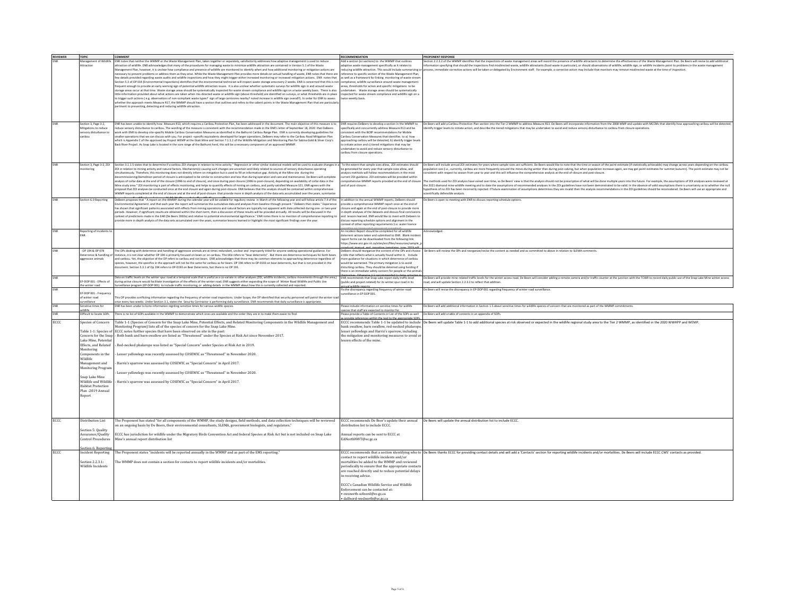| <b>REVIEWER</b> | <b>TOPIC</b>              | COMMENT                                                                                                                                                                               | <b>RECOMMENDATION</b>                                                                                            | <b>PROPONENT RESPONSE</b>                                                                                                                                                                                                      |
|-----------------|---------------------------|---------------------------------------------------------------------------------------------------------------------------------------------------------------------------------------|------------------------------------------------------------------------------------------------------------------|--------------------------------------------------------------------------------------------------------------------------------------------------------------------------------------------------------------------------------|
|                 |                           |                                                                                                                                                                                       |                                                                                                                  |                                                                                                                                                                                                                                |
|                 |                           | Management of Wildlife ENR notes that neither the WMMP or the Waste Management Plan, taken together or separately, satisfactorily addresses how adaptive management is used to reduce | Add a section (or sections) to the WMMP that outlines                                                            | Section 2.2.3.2 of the WMMP identifies that the inspections of waste management areas will record the presence of wildlife attractants to determine the effectiveness of the Waste Management Plan. De Beers will revise to ad |
|                 | ttraction                 | attraction of wildlife. ENR acknowledges that many of the procedures for managing waste to minimize wildlife attraction are contained in Version 5.1 of the Waste                     | aptive waste management specifically as it relates to                                                            | information specifying that should the inspections find misdirected waste, wildlife attractants (food waste in particular), or should observations of wildlife, wildlife sign, or wildlife incidents point to problems in the  |
|                 |                           | nagement Plan, however, it is unclear how compliance and presence of wildlife are monitored to identify when and how additional monitoring or mitigation actions are                  | ucing wildlife attraction. This would include summarizing o                                                      | ess, immediate corrective actions will be taken or delegated by Environment staff. For example, a corrective action may include that monitors may remove misdirected waste at the time of inspectior                           |
|                 |                           | ecessary to prevent problems or address them as they arise. While the Waste Management Plan provides more details on actual handling of waste, ENR notes that there are               | erence to specific section of the Waste Management Plan                                                          |                                                                                                                                                                                                                                |
|                 |                           |                                                                                                                                                                                       |                                                                                                                  |                                                                                                                                                                                                                                |
|                 |                           | few details provided regarding waste audits and wildlife inspections and how they might trigger either increased monitoring or increased mitigation actions. ENR notes that           | well as a framework for linking monitoring of waste stream                                                       |                                                                                                                                                                                                                                |
|                 |                           | .<br>Section 5.3 of OP 014 (Environmental Inspections) identifies that the environmental technician will inspect waste storage area every 2 weeks. ENR is concerned that this is not  | mpliance, wildlife surveillance around waste management                                                          |                                                                                                                                                                                                                                |
|                 |                           | equent enough to provide an early warning sign of potential wildlife attraction issues. It is also unclear whether systematic surveys for wildlife sign in and around waste           | areas, thresholds for action and specific mitigations to be                                                      |                                                                                                                                                                                                                                |
|                 |                           | storage areas occur at that time. Waste storage areas should be systematically inspected for waste stream compliance and wildlife sign on a twice weekly basis. There is also         | dertaken. Waste storage areas should be systematically                                                           |                                                                                                                                                                                                                                |
|                 |                           | ttle information provided about what actions are taken when mis-directed waste or wildlife sign (above threshold) are identified on surveys, or what thresholds are in place          | spected for waste stream compliance and wildlife sign on a                                                       |                                                                                                                                                                                                                                |
|                 |                           |                                                                                                                                                                                       |                                                                                                                  |                                                                                                                                                                                                                                |
|                 |                           | to trigger such actions (e.g. observations of non-compliant waste types? sign of large carnivores nearby? noted increase in wildlife sign overall?). In order for ENR to assess       | ice weekly basis                                                                                                 |                                                                                                                                                                                                                                |
|                 |                           | hether the approach meets Measure R17, the WMMP should have a section that outlines and refers to the salient points in the Waste Management Plan that are particula                  |                                                                                                                  |                                                                                                                                                                                                                                |
|                 |                           | rtinent to preventing, detecting and reducing wildlife attraction.                                                                                                                    |                                                                                                                  |                                                                                                                                                                                                                                |
|                 |                           |                                                                                                                                                                                       |                                                                                                                  |                                                                                                                                                                                                                                |
|                 |                           |                                                                                                                                                                                       |                                                                                                                  |                                                                                                                                                                                                                                |
|                 |                           |                                                                                                                                                                                       |                                                                                                                  |                                                                                                                                                                                                                                |
|                 |                           |                                                                                                                                                                                       |                                                                                                                  |                                                                                                                                                                                                                                |
|                 | ection 3, Page 3-2,       | ENR has been unable to identify how Measure R13, which requires a Caribou Protection Plan, has been addressed in the document. The main objective of this measure is to               | NR requires DeBeers to develop a section in the WMMP to                                                          | De Beers will add a Caribou Protection Plan section into the Tier 2 WMMP to address Measure R13. De Beers will incorporate information from the 2008 WMP and update with MCCMs that identify how approaching caribou will be d |
|                 | ditigations to reduce     | educe sensory disturbance to caribou. The wording of the measure is consistent with the recommendation made in the ENR's letter of September 18, 2020 that DeBeers                    | ecifically and concurrently address Measure R13 and be                                                           | dentify trigger levels to initiate action, and describe the tiered mitigations that may be undertaken to avoid and reduce sensory disturbance to caribou from closure operations                                               |
|                 | ensory disturbance to     | work with ENR to develop site-specific Mobile Caribou Conservation Measures as identified in the Bathurst Caribou Range Plan. ENR is currently developing guidelines for              | isistent with the BCRP recommendations for Mobile                                                                |                                                                                                                                                                                                                                |
|                 | ribou                     | maller operations that we can discuss with you. For project-specific equivalents developed for larger operations, DeBeers may refer to the Caribou Road Mitigation Plan               | aribou Conservation Measures that identifies to a) how                                                           |                                                                                                                                                                                                                                |
|                 |                           | which is Appendix C of the approved Jay Project WEMP at the Ekati Mine and Section 7.1.5.2 of the Wildlife Mitigation and Monitoring Plan for Sabina Gold & Silver Corp's             | roaching caribou will be detected, b) identify trigger lev                                                       |                                                                                                                                                                                                                                |
|                 |                           |                                                                                                                                                                                       | initiate action and c) tiered mitigations that may be                                                            |                                                                                                                                                                                                                                |
|                 |                           | Back River Project. As Snap Lake is located in the core range of the Bathurst herd, this will be a necessary component of an approved WMMP.                                           |                                                                                                                  |                                                                                                                                                                                                                                |
|                 |                           |                                                                                                                                                                                       | indertaken to avoid and reduce sensory disturbance to                                                            |                                                                                                                                                                                                                                |
|                 |                           |                                                                                                                                                                                       | aribou from closure operations.                                                                                  |                                                                                                                                                                                                                                |
|                 |                           |                                                                                                                                                                                       |                                                                                                                  |                                                                                                                                                                                                                                |
|                 |                           |                                                                                                                                                                                       |                                                                                                                  |                                                                                                                                                                                                                                |
| ENR             | ection 3, Page 3-2, ZOI   | Section 3.1.1.5 states that to determine if a caribou 201 changes in relation to mine activity " Regression or other similar statistical models will be used to evaluate changes in   | To the extent that sample sizes allow, 201 estimates should                                                      | De Beers will include annual 201 estimates for years where sample sizes are sufficient. De Beers would like to note that the time or season of the point estimate (if statistically achievable) may change across years depend |
|                 |                           | 201 in relation to mining activity and natural factors. Mechanism(s) causing such changes are uncertain and likely related to sources of sensory disturbance operating                | generated for every year that sample sizes allow, and                                                            | pulation size (i.e., currently, caribou are more frequently around the mines during winter than during post-calving, but when population increases again, we may get point estimates for summer/autumn). The point estimate ma |
|                 |                           | multaneously. Therefore, this monitoring does not directly inform on mitigation but is used to fill an information gap. Activity at the Mine site during the                          | alysis methods will follow recommedations in the most                                                            | sistent with respect to season from year to year and this will influence the comprehensive analysis at the end of closure and post-closure.                                                                                    |
|                 |                           | commissioning/demolition period of closure is anticipated to be similar to construction and less than during operation and care and maintenance. De Beers will complete               | rrent ZOI guidance. ZOI estimates will be provided within                                                        |                                                                                                                                                                                                                                |
|                 |                           | nalysis of collar data at the end of the closure (1996 to end of closure), and once during post-closure (1996 to post-closure), depending on availability of collar data in the       | prehensive WMMP reports provided at the end of closure                                                           | The methods used for 201 analysis have varied over time, so De Beers' view is that the analysis should not be prescriptive of what will be done multiple years into the future. For example, the assumptions of 201 analyses w |
|                 |                           |                                                                                                                                                                                       | ind of post-closure.                                                                                             |                                                                                                                                                                                                                                |
|                 |                           | Mine study area." 201 monitoring is part of effects monitoring, and helps to quantify effects of mining on caribou, and partly satisfied Measure \$21. ENR agrees with the            |                                                                                                                  | the 2021 diamond mine wildlife meeting and to date the assumptions of recommended analyses in the ZOI guidelines have not been demonstrated to be valid. In the absence of valid assumptions there is uncertainty as to whethe |
|                 |                           | oposal that ZOI analyses be conducted once at the end closure and again during post-closure. ENR believes that this analysis should be contained within comprehensive                 |                                                                                                                  | pothesis of no 201 has been incorrectly rejected. If future examination of assumptions determines they are invalid then the analysis recommendations in the 201 guidelines should be reconsidered. De Beers will use an approp |
|                 |                           | MMP reports completed at the end of closure and at the end of post-closure that provide more in depth analysis of the data sets accumulated over the years, summarize                 |                                                                                                                  | tifically defensible analysis                                                                                                                                                                                                  |
| ENR             | ection 6.0 Reporting      | DeBeers proposes that " A report on the WMMP during the calendar year will be vailable for regultory review in March of the following year and will follow article 7.4 of the         | In addition to the annual WWMP reports, DeBeers should                                                           | De Beers is open to meeting with ENR to discuss reporting schedule options.                                                                                                                                                    |
|                 |                           |                                                                                                                                                                                       |                                                                                                                  |                                                                                                                                                                                                                                |
|                 |                           | onmental Agreement and that each year the report will summarize the cumulative data and analyses from baseline through present." DeBeers then states " Experience                     | vide a comprehensive WMMP report once at the end of                                                              |                                                                                                                                                                                                                                |
|                 |                           | as shown that significant patterns associated with effects from mining operations and natural factors are typically not apparent with data collected during one- or two-year          | sure and again at the end of post-closure to provide more                                                        |                                                                                                                                                                                                                                |
|                 |                           | eriods. However, if significant results are obtained within the short-term, then a discussion of these results will be provided annually. All results will be discussed in the        | depth analyses of the datasets and discuss final conclusion                                                      |                                                                                                                                                                                                                                |
|                 |                           | context of predictions made in the EAR (De Beers 2002a) and relative to potential environmental significance." ENR notes there is no mention of comprehensive reporting to            | and lessons learned. ENR would like to meet with Debeers to                                                      |                                                                                                                                                                                                                                |
|                 |                           | de more in depth analysis of the data sets accumulated over the years, summarize lessons learned or highlight the most significant findings over the year                             | cuss reporting schedule options and alignment in the                                                             |                                                                                                                                                                                                                                |
|                 |                           |                                                                                                                                                                                       |                                                                                                                  |                                                                                                                                                                                                                                |
|                 |                           |                                                                                                                                                                                       | ntext of other reporting requirements (i.e. water licence                                                        |                                                                                                                                                                                                                                |
| ENF             | Reporting of Incidents to |                                                                                                                                                                                       | Incident Report should be completed for all wildlife                                                             | Acknowledger                                                                                                                                                                                                                   |
|                 |                           |                                                                                                                                                                                       | terrent actions taken and submitted to ENR. Blank incide                                                         |                                                                                                                                                                                                                                |
|                 |                           |                                                                                                                                                                                       |                                                                                                                  |                                                                                                                                                                                                                                |
|                 |                           |                                                                                                                                                                                       | eport forms can be downloaded from the following link:                                                           |                                                                                                                                                                                                                                |
|                 |                           |                                                                                                                                                                                       | ttps://www.enr.gov.nt.ca/sites/enr/files/resources/sample                                                        |                                                                                                                                                                                                                                |
|                 |                           |                                                                                                                                                                                       |                                                                                                                  |                                                                                                                                                                                                                                |
| ENF             | OP 194 & OP 078           | The OPs dealing with deterrence and handling of aggressive animals are at times redundant, unclear and improperly titled for anyone seeking operational guidance. For                 | eers should reorganize the content of the OPs and choose                                                         | De Beers will review the OPs and reorganize/revise the content as needed and as committed to above in relation to SLEMA comments                                                                                               |
|                 | eterrence & handling      | stance, it is not clear whether OP 194 is primarily focused on bears or on caribou. The title refers to "bear deterrents". But there are deterrence techniques for both bears         | title that reflects what is actually found within it. Include                                                    |                                                                                                                                                                                                                                |
|                 | ggressive animals         | and caribou. Yet, the objective of the OP refers to caribou and not bears. ENR acknowledges that there may be common elements to approaching deterrence regardless of                 | re guidance for situations in which deterrence of caribou                                                        |                                                                                                                                                                                                                                |
|                 |                           | pecies, however, the specifics in the approach will not be the same for caribou as for bears. OP 194 refers to OP-0193 on bear deterrents, but that is not provided in the            | ould be warranted. The primary mitigation is to avoid                                                            |                                                                                                                                                                                                                                |
|                 |                           | cument. Section 5.3.1 of Op 194 refers to OP-0193 on Bear Deterrents, but there is no OP 193.                                                                                         | sturbing caribou. They should be deterred using herding if                                                       |                                                                                                                                                                                                                                |
|                 |                           |                                                                                                                                                                                       | ere is an immediate safety concern for people or the anin                                                        |                                                                                                                                                                                                                                |
|                 |                           |                                                                                                                                                                                       |                                                                                                                  |                                                                                                                                                                                                                                |
| <b>FNR</b>      |                           | Data on traffic levels on the winter spur road at a temporal scale that is useful as a co-variate in other analyses (201, wildlife incidents, caribou movements through the area,     | NR recommends that Snap Lake report daily traffic level                                                          | De Beers will provide mine-related traffic levels for the winter access road. De Beers will consider adding a remote camera and/or traffic counter at the junction with the TCWR to record daily public use of the Snap Lake M |
|                 | P-DOP 001 - Effects of    | during active closure would facilitate investigation of the effects of the winter road. ENR suggests either expanding the scope of Winter Road Wildlife and Public Use                | sublic and project-related) for its winter spur road in its                                                      | road, and will update Section 2.2.3.2 to reflect that addition                                                                                                                                                                 |
|                 | e winter road             | rveillance program (EP-DOP 001) to include traffic monitoring, or adding details in the WMMP about how this is currently collected and reported.                                      |                                                                                                                  |                                                                                                                                                                                                                                |
| ENR             |                           |                                                                                                                                                                                       | ix the discrepancy regarding frequency of winter road                                                            | De Beers will revise the discrepancy in EP-DOP 001 regarding frequency of winter road surveillance.                                                                                                                            |
|                 | P-DOP 001 - Frequent      |                                                                                                                                                                                       | reillance in EP-DOP 001                                                                                          |                                                                                                                                                                                                                                |
|                 | f winter road             | his OP provides conflicting information regarding the frequency of winter road inspections. Under Scope, the OP identified that security personnel will patrol the winter ro          |                                                                                                                  |                                                                                                                                                                                                                                |
|                 | surveillance              | once every two weeks. Under Section 3.1, states the Security Contractor is performing daily surveillance. ENR recommends that daily surveillance is appropriate                       |                                                                                                                  |                                                                                                                                                                                                                                |
| ENR             | nsitive times for         | ENR has been unabe to locte information regrding sensitive times for various widlife species                                                                                          | lease include information on senstive times for widlife                                                          | De Beers will add additional information in Section 1.5 about sensitive times for wildlife species of concern that are monitored as part of the WMMP commitments                                                               |
|                 | ildlife.                  |                                                                                                                                                                                       |                                                                                                                  |                                                                                                                                                                                                                                |
| ENR             | ifficult to locate SOPs   | here is no list of SOPs available in the WMMP to demonstrate which ones are available and the order they are in to make them easier to find.                                          | pecies that staff are expected to monitor for.<br>Please provide a Table of Contents or List of the SOPs as well | De Beers will add a table of contents in an appendix of SOPs.                                                                                                                                                                  |
|                 |                           |                                                                                                                                                                                       | ithin the text to the ap                                                                                         |                                                                                                                                                                                                                                |
| ECCC            | <b>Species of Concern</b> | Table 1-1 (Species of Concern for the Snap Lake Mine, Potential Effects, and Related Monitoring Components in the Wildlife Management and                                             |                                                                                                                  | ECCC recommends Table 1-1 be updated to include De Beers will update Table 1-1 to add additional species at risk observed or expected in the wildlife regional study area to the Tier 2 WMMP, as identified in the 2020 WWHPP  |
|                 |                           |                                                                                                                                                                                       |                                                                                                                  |                                                                                                                                                                                                                                |
|                 |                           | fonitoring Program) lists all of the species of concern for the Snap Lake Mine.                                                                                                       | hank swallow, harn swallow, red-necked nhalarone                                                                 |                                                                                                                                                                                                                                |
|                 | Table 1-1: Species o      | ECCC notes further species that have been observed on site in the past:                                                                                                               | lesser vellowlegs and Harris's sparrow, including                                                                |                                                                                                                                                                                                                                |
|                 | Concern for the Snap      | Both bank and barn swallow are listed as "Threatened" under the Species at Risk Act since November 2017.                                                                              | the mitigation and monitoring measures to avoid or                                                               |                                                                                                                                                                                                                                |
|                 |                           |                                                                                                                                                                                       |                                                                                                                  |                                                                                                                                                                                                                                |
|                 | Lake Mine, Potentia       |                                                                                                                                                                                       | lessen effects of the mine.                                                                                      |                                                                                                                                                                                                                                |
|                 | Effects, and Related      | Red-necked phalarope was listed as "Special Concern" under Species at Risk Act in 2019.                                                                                               |                                                                                                                  |                                                                                                                                                                                                                                |
|                 | Monitoring                |                                                                                                                                                                                       |                                                                                                                  |                                                                                                                                                                                                                                |
|                 | Components in the         | Lesser yellowlegs was recently assessed by COSEWIC as "Threatened" in November 2020.                                                                                                  |                                                                                                                  |                                                                                                                                                                                                                                |
|                 | Wildlife                  |                                                                                                                                                                                       |                                                                                                                  |                                                                                                                                                                                                                                |
|                 |                           |                                                                                                                                                                                       |                                                                                                                  |                                                                                                                                                                                                                                |
|                 | Management and            | Harris's sparrow was assessed by COSEWIC as "Special Concern" in April 2017.                                                                                                          |                                                                                                                  |                                                                                                                                                                                                                                |
|                 | <b>Monitoring Program</b> |                                                                                                                                                                                       |                                                                                                                  |                                                                                                                                                                                                                                |
|                 |                           | Lesser yellowlegs was recently assessed by COSEWIC as "Threatened" in November 2020.                                                                                                  |                                                                                                                  |                                                                                                                                                                                                                                |
|                 | Snap Lake Mine            |                                                                                                                                                                                       |                                                                                                                  |                                                                                                                                                                                                                                |
|                 |                           |                                                                                                                                                                                       |                                                                                                                  |                                                                                                                                                                                                                                |
|                 | Wildlife and Wildlife     | Harris's sparrow was assessed by COSEWIC as "Special Concern" in April 2017.                                                                                                          |                                                                                                                  |                                                                                                                                                                                                                                |
|                 | <b>Jabitat Protection</b> |                                                                                                                                                                                       |                                                                                                                  |                                                                                                                                                                                                                                |
|                 | Plan -2019 Annual         |                                                                                                                                                                                       |                                                                                                                  |                                                                                                                                                                                                                                |
|                 |                           |                                                                                                                                                                                       |                                                                                                                  |                                                                                                                                                                                                                                |
|                 | Report                    |                                                                                                                                                                                       |                                                                                                                  |                                                                                                                                                                                                                                |
|                 |                           |                                                                                                                                                                                       |                                                                                                                  |                                                                                                                                                                                                                                |
|                 |                           |                                                                                                                                                                                       |                                                                                                                  |                                                                                                                                                                                                                                |
|                 |                           |                                                                                                                                                                                       |                                                                                                                  |                                                                                                                                                                                                                                |
|                 |                           |                                                                                                                                                                                       |                                                                                                                  |                                                                                                                                                                                                                                |
|                 |                           |                                                                                                                                                                                       |                                                                                                                  |                                                                                                                                                                                                                                |
|                 |                           |                                                                                                                                                                                       |                                                                                                                  |                                                                                                                                                                                                                                |
|                 |                           |                                                                                                                                                                                       |                                                                                                                  |                                                                                                                                                                                                                                |
| ECCC            | Distribution List         | The Proponent has stated "for all components of the WMMP, the study designs, field methods, and data collection techniques will be reviewed                                           | ECCC recommends De Beer's update their annual                                                                    | De Beers will update the annual distribution list to include ECCC.                                                                                                                                                             |
|                 |                           | n an ongoing basis by De Beers, their environmental consultants, SLEMA, government biologists, and regulators."                                                                       | stribution list to include ECCC.                                                                                 |                                                                                                                                                                                                                                |
|                 | Section 5: Quality        |                                                                                                                                                                                       |                                                                                                                  |                                                                                                                                                                                                                                |
|                 | Assurance/Ouality         |                                                                                                                                                                                       | Annual reports can be sent to ECCC at                                                                            |                                                                                                                                                                                                                                |
|                 |                           | ECCC has jurisdiction for wildlife under the Migratory Birds Convention Act and federal Species at Risk Act but is not included on Snap Lake                                          |                                                                                                                  |                                                                                                                                                                                                                                |
|                 | Control Procedures        | Mine's annual report distribution list                                                                                                                                                | EANorthNWT@ec.gc.ca                                                                                              |                                                                                                                                                                                                                                |
|                 |                           |                                                                                                                                                                                       |                                                                                                                  |                                                                                                                                                                                                                                |
|                 | ection 6: Reportin        |                                                                                                                                                                                       |                                                                                                                  |                                                                                                                                                                                                                                |
| ECCC            | <b>Incident Reporting</b> |                                                                                                                                                                                       |                                                                                                                  |                                                                                                                                                                                                                                |
|                 |                           | The Proponent states "incidents will be reported annually in the WMMP and as part of the EMS reporting."                                                                              |                                                                                                                  | ECCC recommends that a section identifying who to De Beers thanks ECCC for providing contact details and will add a 'Contacts' section for reporting wildlife incidents and/or mortalities. De Beers will include ECCC CWS' co |
|                 |                           |                                                                                                                                                                                       | contact to report wildlife incidents and/or                                                                      |                                                                                                                                                                                                                                |
|                 | Section 2.2.3.1:          | The WMMP does not contain a section for contacts to report wildlife incidents and/or mortalities.                                                                                     | nortalities be added to the WMMP and reviewed                                                                    |                                                                                                                                                                                                                                |
|                 | Wildlife Incidents        |                                                                                                                                                                                       | periodically to ensure that the appropriate contacts                                                             |                                                                                                                                                                                                                                |
|                 |                           |                                                                                                                                                                                       | are reached directly and to reduce potential delays                                                              |                                                                                                                                                                                                                                |
|                 |                           |                                                                                                                                                                                       |                                                                                                                  |                                                                                                                                                                                                                                |
|                 |                           |                                                                                                                                                                                       | in receiving advice                                                                                              |                                                                                                                                                                                                                                |
|                 |                           |                                                                                                                                                                                       |                                                                                                                  |                                                                                                                                                                                                                                |
|                 |                           |                                                                                                                                                                                       | ECCC's Canadian Wildlife Service and Wildlife                                                                    |                                                                                                                                                                                                                                |
|                 |                           |                                                                                                                                                                                       |                                                                                                                  |                                                                                                                                                                                                                                |
|                 |                           |                                                                                                                                                                                       | Enforcement can be contacted at:                                                                                 |                                                                                                                                                                                                                                |
|                 |                           |                                                                                                                                                                                       | cwsnorth-scfnord@ec.gc.ca                                                                                        |                                                                                                                                                                                                                                |
|                 |                           |                                                                                                                                                                                       | dalfnord-wednorth@ec.gc.ca                                                                                       |                                                                                                                                                                                                                                |